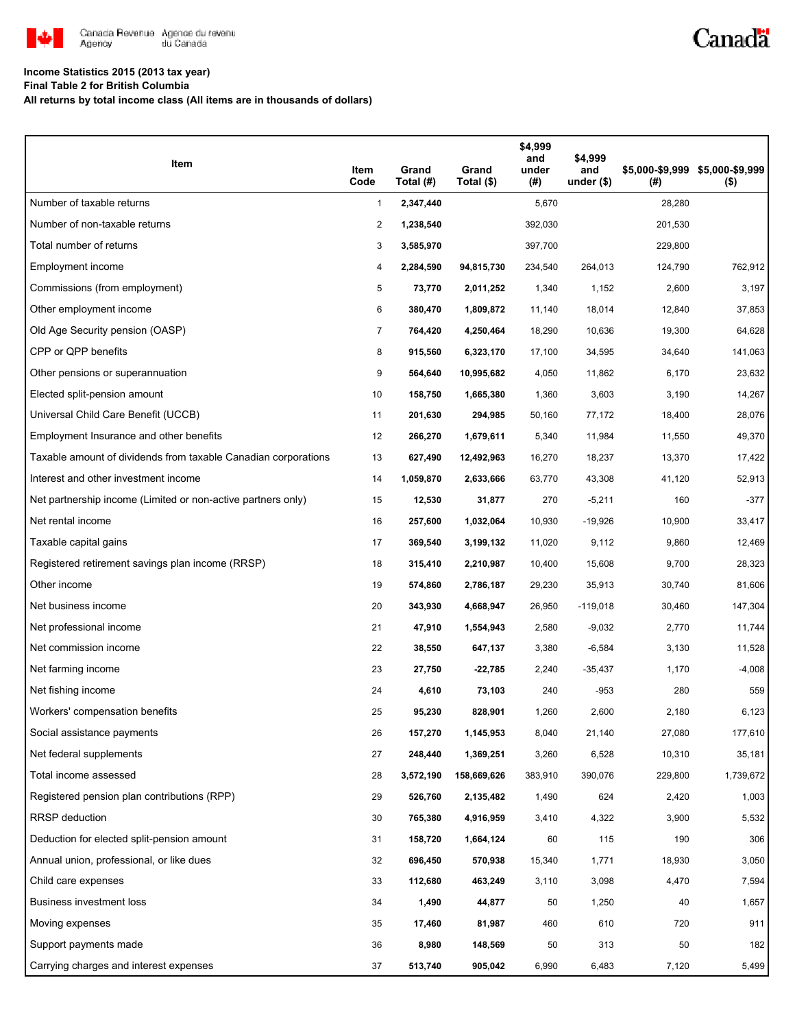

# Canadä

### **Income Statistics 2015 (2013 tax year)**

**Final Table 2 for British Columbia**

**All returns by total income class (All items are in thousands of dollars)**

| Item                                                           | Item<br>Code   | Grand<br>Total (#) | Grand<br>Total (\$) | \$4,999<br>and<br>under<br>(#) | \$4,999<br>and<br>under $($ \$) | (#)     | \$5,000-\$9,999 \$5,000-\$9,999<br>$($ \$) |
|----------------------------------------------------------------|----------------|--------------------|---------------------|--------------------------------|---------------------------------|---------|--------------------------------------------|
| Number of taxable returns                                      | 1              | 2,347,440          |                     | 5,670                          |                                 | 28,280  |                                            |
| Number of non-taxable returns                                  | 2              | 1,238,540          |                     | 392,030                        |                                 | 201,530 |                                            |
| Total number of returns                                        | 3              | 3,585,970          |                     | 397,700                        |                                 | 229,800 |                                            |
| Employment income                                              | 4              | 2,284,590          | 94,815,730          | 234,540                        | 264,013                         | 124,790 | 762,912                                    |
| Commissions (from employment)                                  | 5              | 73,770             | 2,011,252           | 1,340                          | 1,152                           | 2,600   | 3,197                                      |
| Other employment income                                        | 6              | 380,470            | 1,809,872           | 11,140                         | 18,014                          | 12,840  | 37,853                                     |
| Old Age Security pension (OASP)                                | $\overline{7}$ | 764,420            | 4,250,464           | 18,290                         | 10,636                          | 19,300  | 64,628                                     |
| CPP or QPP benefits                                            | 8              | 915,560            | 6,323,170           | 17,100                         | 34,595                          | 34,640  | 141,063                                    |
| Other pensions or superannuation                               | 9              | 564,640            | 10,995,682          | 4,050                          | 11,862                          | 6,170   | 23,632                                     |
| Elected split-pension amount                                   | 10             | 158,750            | 1,665,380           | 1,360                          | 3,603                           | 3,190   | 14,267                                     |
| Universal Child Care Benefit (UCCB)                            | 11             | 201,630            | 294,985             | 50,160                         | 77,172                          | 18,400  | 28,076                                     |
| Employment Insurance and other benefits                        | 12             | 266,270            | 1,679,611           | 5,340                          | 11,984                          | 11,550  | 49,370                                     |
| Taxable amount of dividends from taxable Canadian corporations | 13             | 627,490            | 12,492,963          | 16,270                         | 18,237                          | 13,370  | 17,422                                     |
| Interest and other investment income                           | 14             | 1,059,870          | 2,633,666           | 63,770                         | 43,308                          | 41,120  | 52,913                                     |
| Net partnership income (Limited or non-active partners only)   | 15             | 12,530             | 31,877              | 270                            | $-5,211$                        | 160     | $-377$                                     |
| Net rental income                                              | 16             | 257,600            | 1,032,064           | 10,930                         | $-19,926$                       | 10,900  | 33,417                                     |
| Taxable capital gains                                          | 17             | 369,540            | 3,199,132           | 11,020                         | 9,112                           | 9,860   | 12,469                                     |
| Registered retirement savings plan income (RRSP)               | 18             | 315,410            | 2,210,987           | 10,400                         | 15,608                          | 9,700   | 28,323                                     |
| Other income                                                   | 19             | 574,860            | 2,786,187           | 29,230                         | 35,913                          | 30,740  | 81,606                                     |
| Net business income                                            | 20             | 343,930            | 4,668,947           | 26,950                         | $-119,018$                      | 30,460  | 147,304                                    |
| Net professional income                                        | 21             | 47,910             | 1,554,943           | 2,580                          | $-9,032$                        | 2,770   | 11,744                                     |
| Net commission income                                          | 22             | 38,550             | 647,137             | 3,380                          | $-6,584$                        | 3,130   | 11,528                                     |
| Net farming income                                             | 23             | 27,750             | -22,785             | 2,240                          | $-35,437$                       | 1,170   | $-4,008$                                   |
| Net fishing income                                             | 24             | 4,610              | 73,103              | 240                            | $-953$                          | 280     | 559                                        |
| Workers' compensation benefits                                 | 25             | 95,230             | 828,901             | 1,260                          | 2,600                           | 2,180   | 6,123                                      |
| Social assistance payments                                     | 26             | 157,270            | 1,145,953           | 8,040                          | 21,140                          | 27,080  | 177,610                                    |
| Net federal supplements                                        | 27             | 248,440            | 1,369,251           | 3,260                          | 6,528                           | 10,310  | 35,181                                     |
| Total income assessed                                          | 28             | 3,572,190          | 158,669,626         | 383,910                        | 390,076                         | 229,800 | 1,739,672                                  |
| Registered pension plan contributions (RPP)                    | 29             | 526,760            | 2,135,482           | 1,490                          | 624                             | 2,420   | 1,003                                      |
| RRSP deduction                                                 | 30             | 765,380            | 4,916,959           | 3,410                          | 4,322                           | 3,900   | 5,532                                      |
| Deduction for elected split-pension amount                     | 31             | 158,720            | 1,664,124           | 60                             | 115                             | 190     | 306                                        |
| Annual union, professional, or like dues                       | 32             | 696,450            | 570,938             | 15,340                         | 1,771                           | 18,930  | 3,050                                      |
| Child care expenses                                            | 33             | 112,680            | 463,249             | 3,110                          | 3,098                           | 4,470   | 7,594                                      |
| Business investment loss                                       | 34             | 1,490              | 44,877              | 50                             | 1,250                           | 40      | 1,657                                      |
| Moving expenses                                                | 35             | 17,460             | 81,987              | 460                            | 610                             | 720     | 911                                        |
| Support payments made                                          | 36             | 8,980              | 148,569             | 50                             | 313                             | 50      | 182                                        |
| Carrying charges and interest expenses                         | 37             | 513,740            | 905,042             | 6,990                          | 6,483                           | 7,120   | 5,499                                      |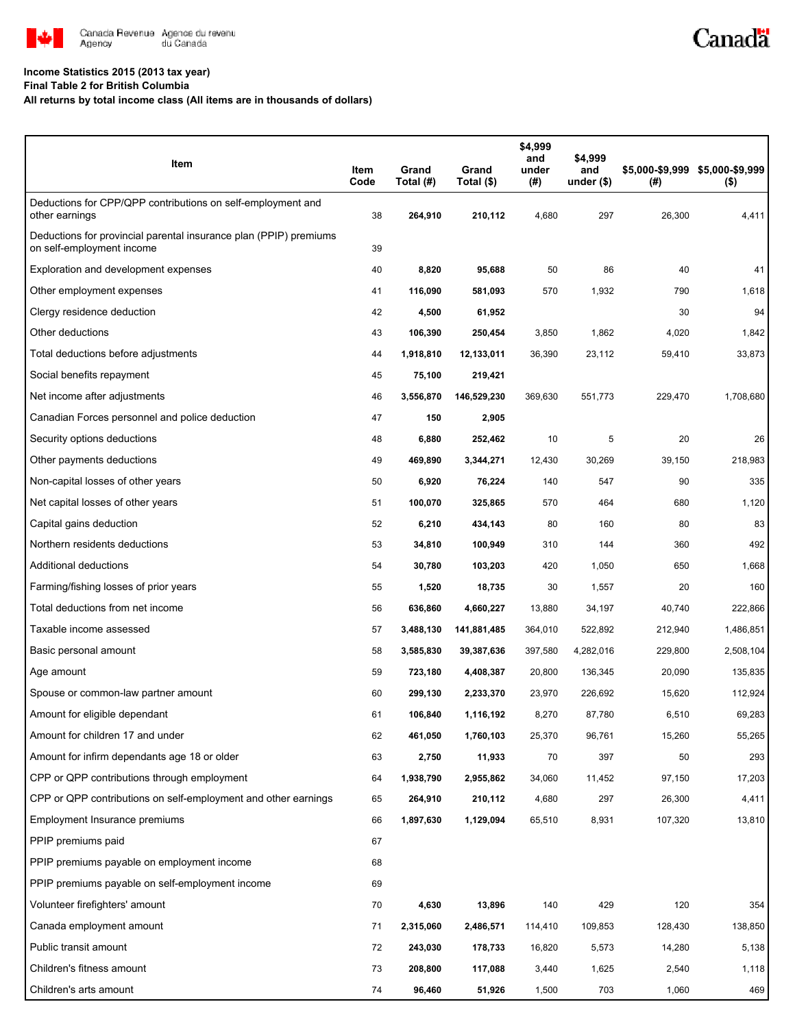

#### **Income Statistics 2015 (2013 tax year)**

**Final Table 2 for British Columbia**

**All returns by total income class (All items are in thousands of dollars)**

| Item                                                                                           | Item<br>Code | Grand<br>Total (#) | Grand<br>Total (\$) | \$4,999<br>and<br>under<br>(#) | \$4,999<br>and<br>under $($)$ | (# )    | \$5,000-\$9,999 \$5,000-\$9,999<br>$($ \$) |
|------------------------------------------------------------------------------------------------|--------------|--------------------|---------------------|--------------------------------|-------------------------------|---------|--------------------------------------------|
| Deductions for CPP/QPP contributions on self-employment and<br>other earnings                  | 38           | 264,910            | 210,112             | 4,680                          | 297                           | 26,300  | 4,411                                      |
| Deductions for provincial parental insurance plan (PPIP) premiums<br>on self-employment income | 39           |                    |                     |                                |                               |         |                                            |
| Exploration and development expenses                                                           | 40           | 8,820              | 95,688              | 50                             | 86                            | 40      | 41                                         |
| Other employment expenses                                                                      | 41           | 116,090            | 581,093             | 570                            | 1,932                         | 790     | 1,618                                      |
| Clergy residence deduction                                                                     | 42           | 4,500              | 61,952              |                                |                               | 30      | 94                                         |
| Other deductions                                                                               | 43           | 106,390            | 250,454             | 3,850                          | 1,862                         | 4,020   | 1,842                                      |
| Total deductions before adjustments                                                            | 44           | 1,918,810          | 12,133,011          | 36,390                         | 23,112                        | 59,410  | 33,873                                     |
| Social benefits repayment                                                                      | 45           | 75,100             | 219,421             |                                |                               |         |                                            |
| Net income after adjustments                                                                   | 46           | 3,556,870          | 146,529,230         | 369,630                        | 551,773                       | 229,470 | 1,708,680                                  |
| Canadian Forces personnel and police deduction                                                 | 47           | 150                | 2,905               |                                |                               |         |                                            |
| Security options deductions                                                                    | 48           | 6,880              | 252,462             | 10                             | 5                             | 20      | 26                                         |
| Other payments deductions                                                                      | 49           | 469,890            | 3,344,271           | 12,430                         | 30,269                        | 39,150  | 218,983                                    |
| Non-capital losses of other years                                                              | 50           | 6,920              | 76,224              | 140                            | 547                           | 90      | 335                                        |
| Net capital losses of other years                                                              | 51           | 100,070            | 325,865             | 570                            | 464                           | 680     | 1,120                                      |
| Capital gains deduction                                                                        | 52           | 6,210              | 434,143             | 80                             | 160                           | 80      | 83                                         |
| Northern residents deductions                                                                  | 53           | 34,810             | 100,949             | 310                            | 144                           | 360     | 492                                        |
| Additional deductions                                                                          | 54           | 30,780             | 103,203             | 420                            | 1,050                         | 650     | 1,668                                      |
| Farming/fishing losses of prior years                                                          | 55           | 1,520              | 18,735              | 30                             | 1,557                         | 20      | 160                                        |
| Total deductions from net income                                                               | 56           | 636,860            | 4,660,227           | 13,880                         | 34,197                        | 40,740  | 222,866                                    |
| Taxable income assessed                                                                        | 57           | 3,488,130          | 141,881,485         | 364,010                        | 522,892                       | 212,940 | 1,486,851                                  |
| Basic personal amount                                                                          | 58           | 3,585,830          | 39,387,636          | 397,580                        | 4,282,016                     | 229,800 | 2,508,104                                  |
| Age amount                                                                                     | 59           | 723,180            | 4,408,387           | 20,800                         | 136,345                       | 20,090  | 135,835                                    |
| Spouse or common-law partner amount                                                            | 60           | 299,130            | 2,233,370           | 23,970                         | 226,692                       | 15,620  | 112,924                                    |
| Amount for eligible dependant                                                                  | 61           | 106,840            | 1,116,192           | 8,270                          | 87,780                        | 6,510   | 69,283                                     |
| Amount for children 17 and under                                                               | 62           | 461,050            | 1,760,103           | 25,370                         | 96,761                        | 15,260  | 55,265                                     |
| Amount for infirm dependants age 18 or older                                                   | 63           | 2,750              | 11,933              | 70                             | 397                           | 50      | 293                                        |
| CPP or QPP contributions through employment                                                    | 64           | 1,938,790          | 2,955,862           | 34,060                         | 11,452                        | 97,150  | 17,203                                     |
| CPP or QPP contributions on self-employment and other earnings                                 | 65           | 264,910            | 210,112             | 4,680                          | 297                           | 26,300  | 4,411                                      |
| Employment Insurance premiums                                                                  | 66           | 1,897,630          | 1,129,094           | 65,510                         | 8,931                         | 107,320 | 13,810                                     |
| PPIP premiums paid                                                                             | 67           |                    |                     |                                |                               |         |                                            |
| PPIP premiums payable on employment income                                                     | 68           |                    |                     |                                |                               |         |                                            |
| PPIP premiums payable on self-employment income                                                | 69           |                    |                     |                                |                               |         |                                            |
| Volunteer firefighters' amount                                                                 | 70           | 4,630              | 13,896              | 140                            | 429                           | 120     | 354                                        |
| Canada employment amount                                                                       | 71           | 2,315,060          | 2,486,571           | 114,410                        | 109,853                       | 128,430 | 138,850                                    |
| Public transit amount                                                                          | 72           | 243,030            | 178,733             | 16,820                         | 5,573                         | 14,280  | 5,138                                      |
| Children's fitness amount                                                                      | 73           | 208,800            | 117,088             | 3,440                          | 1,625                         | 2,540   | 1,118                                      |
| Children's arts amount                                                                         | 74           | 96,460             | 51,926              | 1,500                          | 703                           | 1,060   | 469                                        |

Canadä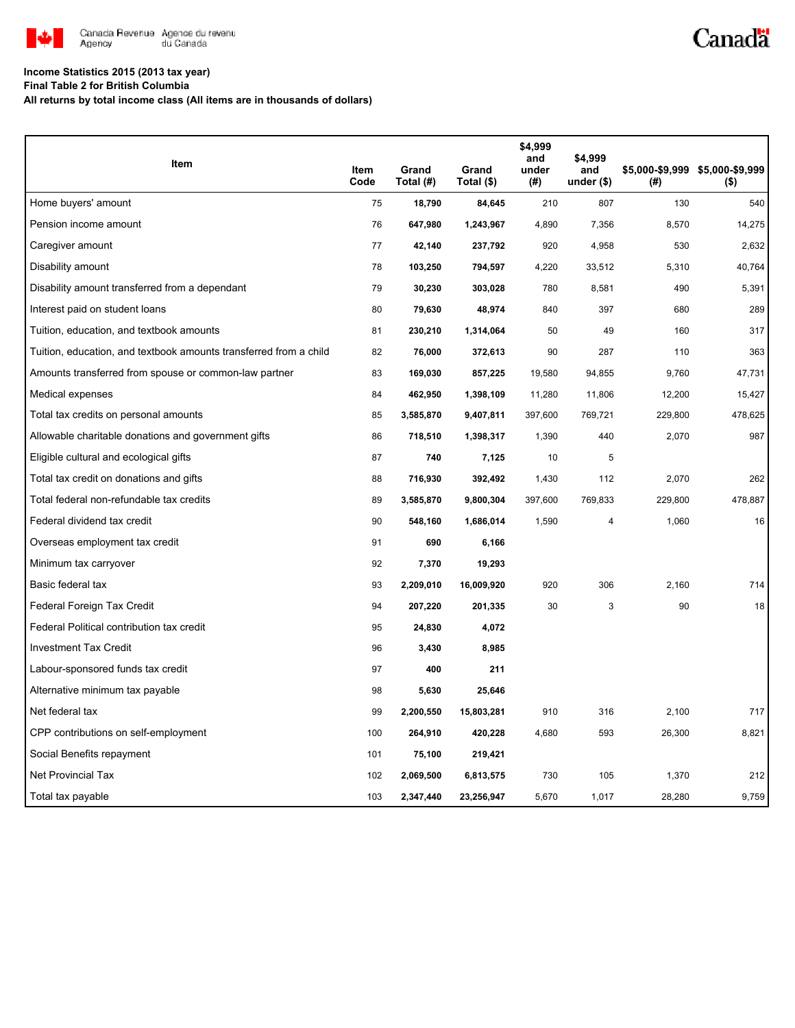

# Canadä

### **Income Statistics 2015 (2013 tax year)**

**Final Table 2 for British Columbia**

**All returns by total income class (All items are in thousands of dollars)**

| Item                                                              | Item<br>Code | Grand<br>Total (#) | Grand<br>Total (\$) | \$4,999<br>and<br>under<br>(#) | \$4,999<br>and<br>under $($)$ | (#)     | \$5,000-\$9,999 \$5,000-\$9,999<br>$($ \$) |
|-------------------------------------------------------------------|--------------|--------------------|---------------------|--------------------------------|-------------------------------|---------|--------------------------------------------|
| Home buyers' amount                                               | 75           | 18,790             | 84,645              | 210                            | 807                           | 130     | 540                                        |
| Pension income amount                                             | 76           | 647,980            | 1,243,967           | 4,890                          | 7,356                         | 8,570   | 14,275                                     |
| Caregiver amount                                                  | 77           | 42,140             | 237,792             | 920                            | 4,958                         | 530     | 2,632                                      |
| Disability amount                                                 | 78           | 103,250            | 794,597             | 4,220                          | 33,512                        | 5,310   | 40,764                                     |
| Disability amount transferred from a dependant                    | 79           | 30,230             | 303,028             | 780                            | 8,581                         | 490     | 5,391                                      |
| Interest paid on student loans                                    | 80           | 79,630             | 48,974              | 840                            | 397                           | 680     | 289                                        |
| Tuition, education, and textbook amounts                          | 81           | 230,210            | 1,314,064           | 50                             | 49                            | 160     | 317                                        |
| Tuition, education, and textbook amounts transferred from a child | 82           | 76,000             | 372,613             | 90                             | 287                           | 110     | 363                                        |
| Amounts transferred from spouse or common-law partner             | 83           | 169,030            | 857,225             | 19,580                         | 94,855                        | 9,760   | 47,731                                     |
| Medical expenses                                                  | 84           | 462,950            | 1,398,109           | 11,280                         | 11,806                        | 12,200  | 15,427                                     |
| Total tax credits on personal amounts                             | 85           | 3,585,870          | 9,407,811           | 397,600                        | 769,721                       | 229,800 | 478,625                                    |
| Allowable charitable donations and government gifts               | 86           | 718,510            | 1,398,317           | 1,390                          | 440                           | 2,070   | 987                                        |
| Eligible cultural and ecological gifts                            | 87           | 740                | 7,125               | 10                             | 5                             |         |                                            |
| Total tax credit on donations and gifts                           | 88           | 716,930            | 392,492             | 1,430                          | 112                           | 2,070   | 262                                        |
| Total federal non-refundable tax credits                          | 89           | 3,585,870          | 9,800,304           | 397,600                        | 769,833                       | 229,800 | 478,887                                    |
| Federal dividend tax credit                                       | 90           | 548,160            | 1,686,014           | 1,590                          | $\overline{4}$                | 1,060   | 16                                         |
| Overseas employment tax credit                                    | 91           | 690                | 6,166               |                                |                               |         |                                            |
| Minimum tax carryover                                             | 92           | 7,370              | 19,293              |                                |                               |         |                                            |
| Basic federal tax                                                 | 93           | 2,209,010          | 16,009,920          | 920                            | 306                           | 2.160   | 714                                        |
| Federal Foreign Tax Credit                                        | 94           | 207,220            | 201,335             | 30                             | 3                             | 90      | 18                                         |
| Federal Political contribution tax credit                         | 95           | 24,830             | 4,072               |                                |                               |         |                                            |
| <b>Investment Tax Credit</b>                                      | 96           | 3,430              | 8,985               |                                |                               |         |                                            |
| Labour-sponsored funds tax credit                                 | 97           | 400                | 211                 |                                |                               |         |                                            |
| Alternative minimum tax payable                                   | 98           | 5,630              | 25,646              |                                |                               |         |                                            |
| Net federal tax                                                   | 99           | 2,200,550          | 15,803,281          | 910                            | 316                           | 2,100   | 717                                        |
| CPP contributions on self-employment                              | 100          | 264,910            | 420,228             | 4,680                          | 593                           | 26,300  | 8,821                                      |
| Social Benefits repayment                                         | 101          | 75,100             | 219,421             |                                |                               |         |                                            |
| Net Provincial Tax                                                | 102          | 2,069,500          | 6,813,575           | 730                            | 105                           | 1,370   | 212                                        |
| Total tax payable                                                 | 103          | 2,347,440          | 23,256,947          | 5,670                          | 1,017                         | 28,280  | 9,759                                      |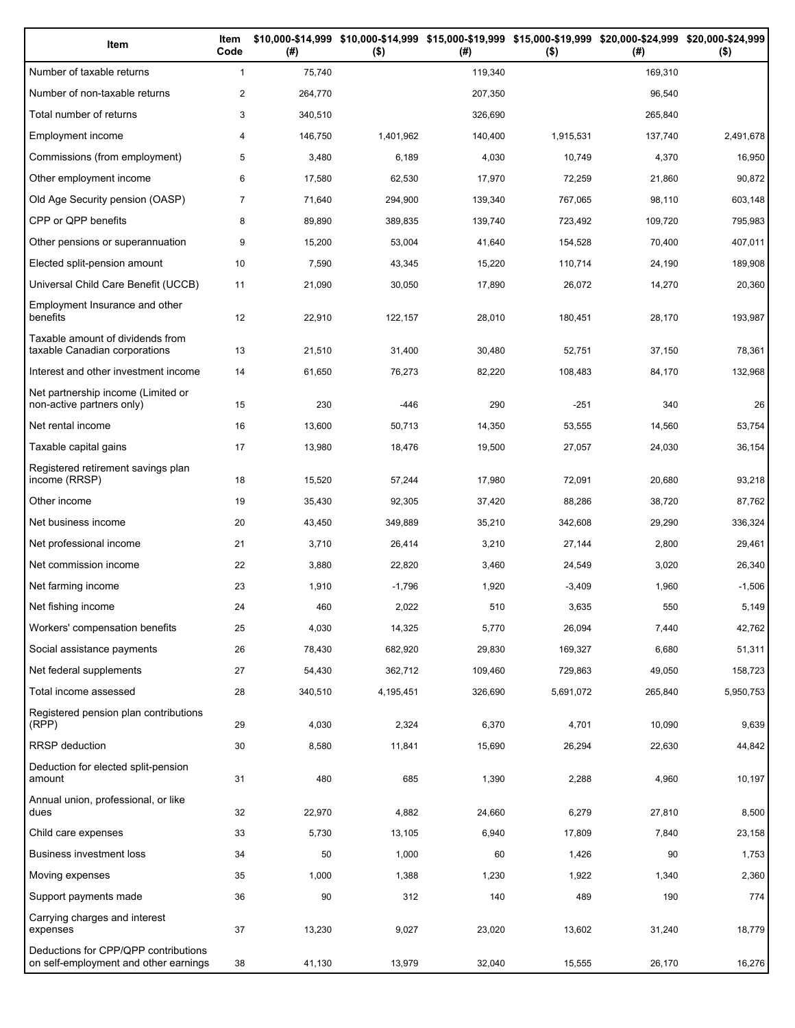| Item                                                                          | Item<br>Code   | (# )    | \$10,000-\$14,999 \$10,000-\$14,999 \$15,000-\$19,999 \$15,000-\$19,999 \$20,000-\$24,999 \$20,000-\$24,999<br>$($ \$) | (# )    | $($ \$)   | (# )    | $($ \$)   |
|-------------------------------------------------------------------------------|----------------|---------|------------------------------------------------------------------------------------------------------------------------|---------|-----------|---------|-----------|
| Number of taxable returns                                                     | $\mathbf{1}$   | 75,740  |                                                                                                                        | 119,340 |           | 169.310 |           |
| Number of non-taxable returns                                                 | $\overline{c}$ | 264,770 |                                                                                                                        | 207,350 |           | 96,540  |           |
| Total number of returns                                                       | 3              | 340,510 |                                                                                                                        | 326,690 |           | 265,840 |           |
| Employment income                                                             | 4              | 146,750 | 1,401,962                                                                                                              | 140,400 | 1,915,531 | 137,740 | 2,491,678 |
| Commissions (from employment)                                                 | 5              | 3,480   | 6,189                                                                                                                  | 4,030   | 10,749    | 4,370   | 16,950    |
| Other employment income                                                       | 6              | 17,580  | 62,530                                                                                                                 | 17,970  | 72,259    | 21,860  | 90,872    |
| Old Age Security pension (OASP)                                               | $\overline{7}$ | 71,640  | 294,900                                                                                                                | 139,340 | 767,065   | 98,110  | 603,148   |
| CPP or QPP benefits                                                           | 8              | 89,890  | 389,835                                                                                                                | 139,740 | 723,492   | 109,720 | 795,983   |
| Other pensions or superannuation                                              | 9              | 15,200  | 53,004                                                                                                                 | 41,640  | 154,528   | 70,400  | 407,011   |
| Elected split-pension amount                                                  | 10             | 7,590   | 43,345                                                                                                                 | 15,220  | 110,714   | 24,190  | 189,908   |
| Universal Child Care Benefit (UCCB)                                           | 11             | 21,090  | 30,050                                                                                                                 | 17,890  | 26,072    | 14,270  | 20,360    |
| Employment Insurance and other<br>benefits                                    | 12             | 22,910  | 122,157                                                                                                                | 28,010  | 180,451   | 28,170  | 193,987   |
| Taxable amount of dividends from<br>taxable Canadian corporations             | 13             | 21,510  | 31,400                                                                                                                 | 30,480  | 52,751    | 37,150  | 78,361    |
| Interest and other investment income                                          | 14             | 61,650  | 76,273                                                                                                                 | 82,220  | 108,483   | 84,170  | 132,968   |
| Net partnership income (Limited or<br>non-active partners only)               | 15             | 230     | $-446$                                                                                                                 | 290     | $-251$    | 340     | 26        |
| Net rental income                                                             | 16             | 13,600  | 50,713                                                                                                                 | 14,350  | 53,555    | 14,560  | 53,754    |
| Taxable capital gains                                                         | 17             | 13,980  | 18,476                                                                                                                 | 19,500  | 27,057    | 24,030  | 36,154    |
| Registered retirement savings plan<br>income (RRSP)                           | 18             | 15,520  | 57,244                                                                                                                 | 17,980  | 72,091    | 20,680  | 93,218    |
| Other income                                                                  | 19             | 35,430  | 92,305                                                                                                                 | 37,420  | 88,286    | 38,720  | 87,762    |
| Net business income                                                           | 20             | 43,450  | 349,889                                                                                                                | 35,210  | 342,608   | 29,290  | 336,324   |
| Net professional income                                                       | 21             | 3,710   | 26,414                                                                                                                 | 3,210   | 27,144    | 2,800   | 29,461    |
| Net commission income                                                         | 22             | 3,880   | 22,820                                                                                                                 | 3,460   | 24,549    | 3,020   | 26,340    |
| Net farming income                                                            | 23             | 1,910   | $-1,796$                                                                                                               | 1,920   | $-3,409$  | 1,960   | $-1,506$  |
| Net fishing income                                                            | 24             | 460     | 2,022                                                                                                                  | 510     | 3,635     | 550     | 5,149     |
| Workers' compensation benefits                                                | 25             | 4,030   | 14,325                                                                                                                 | 5,770   | 26,094    | 7,440   | 42,762    |
| Social assistance payments                                                    | 26             | 78,430  | 682,920                                                                                                                | 29,830  | 169,327   | 6,680   | 51,311    |
| Net federal supplements                                                       | 27             | 54,430  | 362,712                                                                                                                | 109,460 | 729,863   | 49,050  | 158,723   |
| Total income assessed                                                         | 28             | 340,510 | 4,195,451                                                                                                              | 326,690 | 5,691,072 | 265,840 | 5,950,753 |
| Registered pension plan contributions<br>(RPP)                                | 29             | 4,030   | 2,324                                                                                                                  | 6,370   | 4,701     | 10,090  | 9,639     |
| RRSP deduction                                                                | 30             | 8,580   | 11,841                                                                                                                 | 15,690  | 26,294    | 22,630  | 44,842    |
| Deduction for elected split-pension<br>amount                                 | 31             | 480     | 685                                                                                                                    | 1,390   | 2,288     | 4,960   | 10,197    |
| Annual union, professional, or like<br>dues                                   | 32             | 22,970  | 4,882                                                                                                                  | 24,660  | 6,279     | 27,810  | 8,500     |
| Child care expenses                                                           | 33             | 5,730   | 13,105                                                                                                                 | 6,940   | 17,809    | 7,840   | 23,158    |
| Business investment loss                                                      | 34             | 50      | 1,000                                                                                                                  | 60      | 1,426     | 90      | 1,753     |
| Moving expenses                                                               | 35             | 1,000   | 1,388                                                                                                                  | 1,230   | 1,922     | 1,340   | 2,360     |
| Support payments made                                                         | 36             | 90      | 312                                                                                                                    | 140     | 489       | 190     | 774       |
| Carrying charges and interest<br>expenses                                     | 37             | 13,230  | 9,027                                                                                                                  | 23,020  | 13,602    | 31,240  | 18,779    |
| Deductions for CPP/QPP contributions<br>on self-employment and other earnings | 38             | 41,130  | 13,979                                                                                                                 | 32,040  | 15,555    | 26,170  | 16,276    |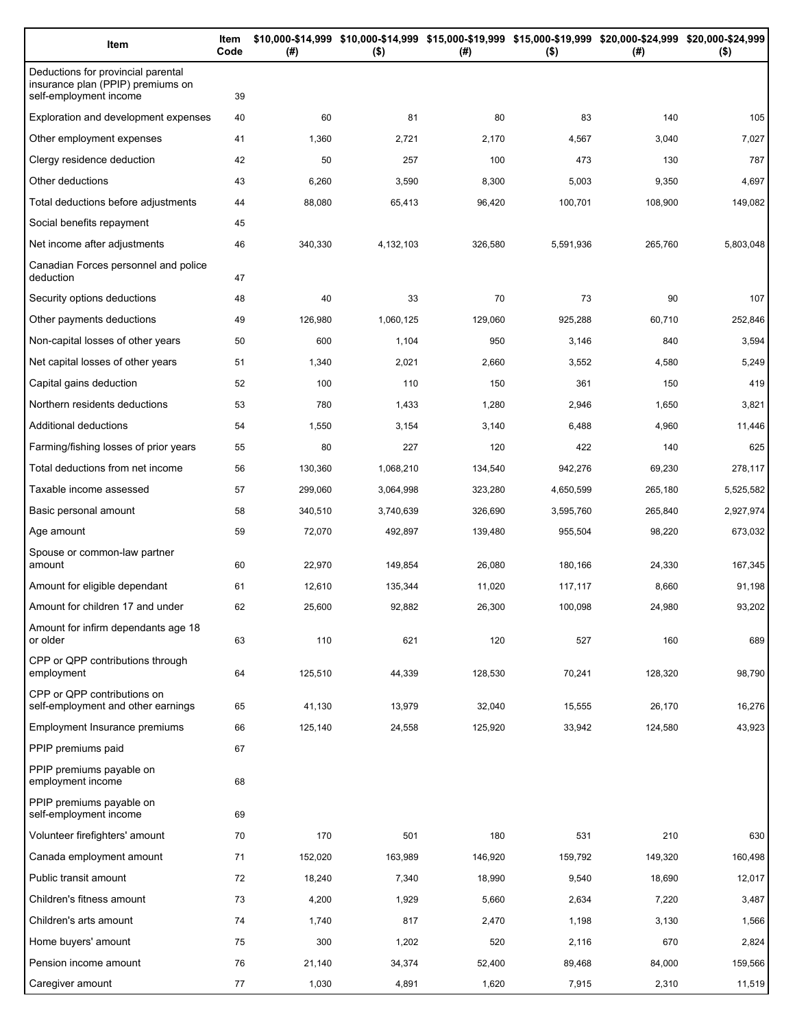| Item                                                                                              | Item<br>Code | (#)     | \$10,000-\$14,999 \$10,000-\$14,999 \$15,000-\$19,999 \$15,000-\$19,999 \$20,000-\$24,999 \$20,000-\$24,999<br>$($ \$) | (#)     | $($ \$)   | (#)     | $($ \$)   |
|---------------------------------------------------------------------------------------------------|--------------|---------|------------------------------------------------------------------------------------------------------------------------|---------|-----------|---------|-----------|
| Deductions for provincial parental<br>insurance plan (PPIP) premiums on<br>self-employment income | 39           |         |                                                                                                                        |         |           |         |           |
| Exploration and development expenses                                                              | 40           | 60      | 81                                                                                                                     | 80      | 83        | 140     | 105       |
| Other employment expenses                                                                         | 41           | 1,360   | 2,721                                                                                                                  | 2,170   | 4,567     | 3,040   | 7,027     |
| Clergy residence deduction                                                                        | 42           | 50      | 257                                                                                                                    | 100     | 473       | 130     | 787       |
| Other deductions                                                                                  | 43           | 6,260   | 3,590                                                                                                                  | 8,300   | 5,003     | 9,350   | 4,697     |
| Total deductions before adjustments                                                               | 44           | 88,080  | 65,413                                                                                                                 | 96,420  | 100,701   | 108,900 | 149,082   |
| Social benefits repayment                                                                         | 45           |         |                                                                                                                        |         |           |         |           |
| Net income after adjustments                                                                      | 46           | 340,330 | 4,132,103                                                                                                              | 326,580 | 5,591,936 | 265,760 | 5,803,048 |
| Canadian Forces personnel and police<br>deduction                                                 | 47           |         |                                                                                                                        |         |           |         |           |
| Security options deductions                                                                       | 48           | 40      | 33                                                                                                                     | 70      | 73        | 90      | 107       |
| Other payments deductions                                                                         | 49           | 126,980 | 1,060,125                                                                                                              | 129,060 | 925,288   | 60,710  | 252,846   |
| Non-capital losses of other years                                                                 | 50           | 600     | 1,104                                                                                                                  | 950     | 3,146     | 840     | 3,594     |
| Net capital losses of other years                                                                 | 51           | 1,340   | 2,021                                                                                                                  | 2,660   | 3,552     | 4,580   | 5,249     |
| Capital gains deduction                                                                           | 52           | 100     | 110                                                                                                                    | 150     | 361       | 150     | 419       |
| Northern residents deductions                                                                     | 53           | 780     | 1,433                                                                                                                  | 1,280   | 2,946     | 1,650   | 3,821     |
| Additional deductions                                                                             | 54           | 1,550   | 3,154                                                                                                                  | 3,140   | 6,488     | 4,960   | 11,446    |
| Farming/fishing losses of prior years                                                             | 55           | 80      | 227                                                                                                                    | 120     | 422       | 140     | 625       |
| Total deductions from net income                                                                  | 56           | 130,360 | 1,068,210                                                                                                              | 134,540 | 942,276   | 69,230  | 278,117   |
| Taxable income assessed                                                                           | 57           | 299,060 | 3,064,998                                                                                                              | 323,280 | 4,650,599 | 265,180 | 5,525,582 |
| Basic personal amount                                                                             | 58           | 340,510 | 3,740,639                                                                                                              | 326,690 | 3,595,760 | 265,840 | 2,927,974 |
| Age amount                                                                                        | 59           | 72,070  | 492,897                                                                                                                | 139,480 | 955,504   | 98,220  | 673,032   |
| Spouse or common-law partner<br>amount                                                            | 60           | 22,970  | 149,854                                                                                                                | 26,080  | 180,166   | 24,330  | 167,345   |
| Amount for eligible dependant                                                                     | 61           | 12,610  | 135,344                                                                                                                | 11,020  | 117,117   | 8,660   | 91,198    |
| Amount for children 17 and under                                                                  | 62           | 25,600  | 92,882                                                                                                                 | 26,300  | 100,098   | 24,980  | 93,202    |
| Amount for infirm dependants age 18<br>or older                                                   | 63           | 110     | 621                                                                                                                    | 120     | 527       | 160     | 689       |
| CPP or QPP contributions through<br>employment                                                    | 64           | 125,510 | 44,339                                                                                                                 | 128,530 | 70,241    | 128,320 | 98,790    |
| CPP or QPP contributions on<br>self-employment and other earnings                                 | 65           | 41,130  | 13,979                                                                                                                 | 32,040  | 15,555    | 26,170  | 16,276    |
| Employment Insurance premiums                                                                     | 66           | 125,140 | 24,558                                                                                                                 | 125,920 | 33,942    | 124,580 | 43,923    |
| PPIP premiums paid                                                                                | 67           |         |                                                                                                                        |         |           |         |           |
| PPIP premiums payable on<br>employment income                                                     | 68           |         |                                                                                                                        |         |           |         |           |
| PPIP premiums payable on<br>self-employment income                                                | 69           |         |                                                                                                                        |         |           |         |           |
| Volunteer firefighters' amount                                                                    | 70           | 170     | 501                                                                                                                    | 180     | 531       | 210     | 630       |
| Canada employment amount                                                                          | 71           | 152,020 | 163,989                                                                                                                | 146,920 | 159,792   | 149,320 | 160,498   |
| Public transit amount                                                                             | 72           | 18,240  | 7,340                                                                                                                  | 18,990  | 9,540     | 18,690  | 12,017    |
| Children's fitness amount                                                                         | 73           | 4,200   | 1,929                                                                                                                  | 5,660   | 2,634     | 7,220   | 3,487     |
| Children's arts amount                                                                            | 74           | 1,740   | 817                                                                                                                    | 2,470   | 1,198     | 3,130   | 1,566     |
| Home buyers' amount                                                                               | 75           | 300     | 1,202                                                                                                                  | 520     | 2,116     | 670     | 2,824     |
| Pension income amount                                                                             | 76           | 21,140  | 34,374                                                                                                                 | 52,400  | 89,468    | 84,000  | 159,566   |
| Caregiver amount                                                                                  | 77           | 1,030   | 4,891                                                                                                                  | 1,620   | 7,915     | 2,310   | 11,519    |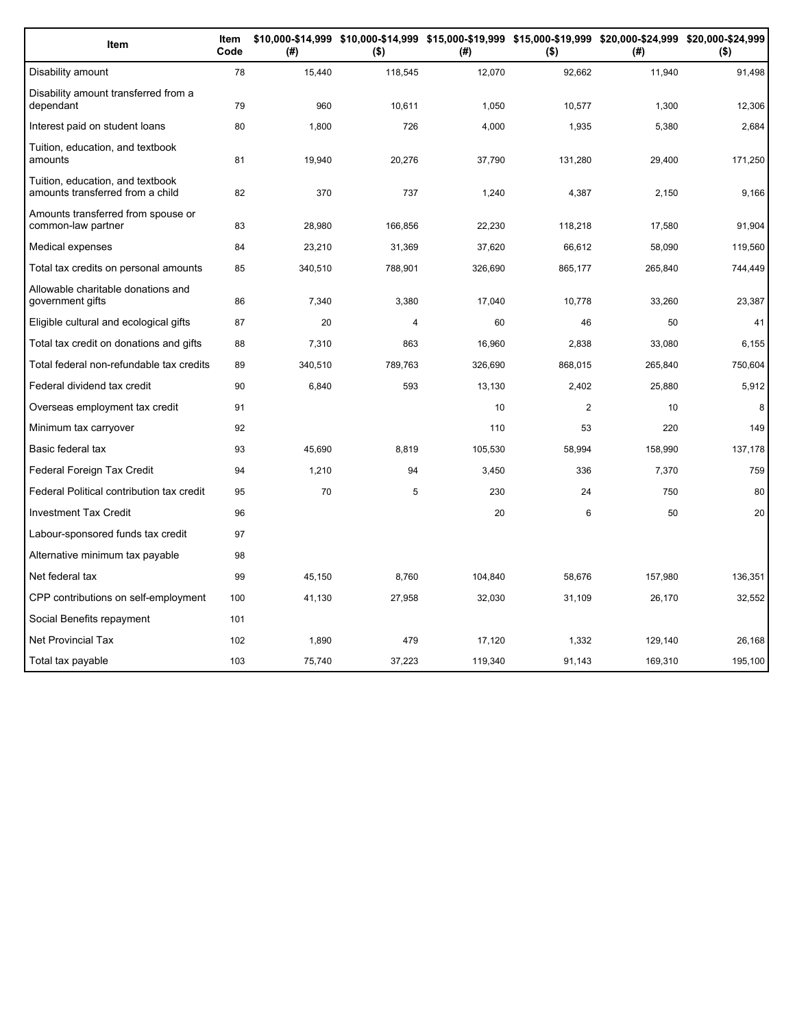| Item                                                                 | Item<br>Code | (#)     | \$10,000-\$14,999 \$10,000-\$14,999 \$15,000-\$19,999 \$15,000-\$19,999 \$20,000-\$24,999 \$20,000-\$24,999<br>$($ \$) | (#)     | $($ \$)        | (# )    | $($ \$) |
|----------------------------------------------------------------------|--------------|---------|------------------------------------------------------------------------------------------------------------------------|---------|----------------|---------|---------|
| Disability amount                                                    | 78           | 15,440  | 118,545                                                                                                                | 12,070  | 92,662         | 11,940  | 91,498  |
| Disability amount transferred from a<br>dependant                    | 79           | 960     | 10,611                                                                                                                 | 1,050   | 10,577         | 1,300   | 12,306  |
| Interest paid on student loans                                       | 80           | 1,800   | 726                                                                                                                    | 4,000   | 1,935          | 5,380   | 2,684   |
| Tuition, education, and textbook<br>amounts                          | 81           | 19,940  | 20,276                                                                                                                 | 37,790  | 131,280        | 29,400  | 171,250 |
| Tuition, education, and textbook<br>amounts transferred from a child | 82           | 370     | 737                                                                                                                    | 1,240   | 4,387          | 2,150   | 9,166   |
| Amounts transferred from spouse or<br>common-law partner             | 83           | 28,980  | 166,856                                                                                                                | 22,230  | 118,218        | 17,580  | 91,904  |
| Medical expenses                                                     | 84           | 23,210  | 31,369                                                                                                                 | 37,620  | 66,612         | 58,090  | 119,560 |
| Total tax credits on personal amounts                                | 85           | 340,510 | 788,901                                                                                                                | 326,690 | 865,177        | 265,840 | 744,449 |
| Allowable charitable donations and<br>government gifts               | 86           | 7,340   | 3,380                                                                                                                  | 17,040  | 10,778         | 33,260  | 23,387  |
| Eligible cultural and ecological gifts                               | 87           | 20      | 4                                                                                                                      | 60      | 46             | 50      | 41      |
| Total tax credit on donations and gifts                              | 88           | 7,310   | 863                                                                                                                    | 16,960  | 2,838          | 33,080  | 6,155   |
| Total federal non-refundable tax credits                             | 89           | 340,510 | 789,763                                                                                                                | 326,690 | 868,015        | 265,840 | 750,604 |
| Federal dividend tax credit                                          | 90           | 6,840   | 593                                                                                                                    | 13,130  | 2,402          | 25,880  | 5,912   |
| Overseas employment tax credit                                       | 91           |         |                                                                                                                        | 10      | $\overline{2}$ | 10      | 8       |
| Minimum tax carryover                                                | 92           |         |                                                                                                                        | 110     | 53             | 220     | 149     |
| Basic federal tax                                                    | 93           | 45,690  | 8,819                                                                                                                  | 105,530 | 58,994         | 158,990 | 137,178 |
| Federal Foreign Tax Credit                                           | 94           | 1,210   | 94                                                                                                                     | 3,450   | 336            | 7,370   | 759     |
| Federal Political contribution tax credit                            | 95           | 70      | 5                                                                                                                      | 230     | 24             | 750     | 80      |
| <b>Investment Tax Credit</b>                                         | 96           |         |                                                                                                                        | 20      | 6              | 50      | 20      |
| Labour-sponsored funds tax credit                                    | 97           |         |                                                                                                                        |         |                |         |         |
| Alternative minimum tax payable                                      | 98           |         |                                                                                                                        |         |                |         |         |
| Net federal tax                                                      | 99           | 45,150  | 8,760                                                                                                                  | 104,840 | 58,676         | 157,980 | 136,351 |
| CPP contributions on self-employment                                 | 100          | 41,130  | 27,958                                                                                                                 | 32,030  | 31,109         | 26,170  | 32,552  |
| Social Benefits repayment                                            | 101          |         |                                                                                                                        |         |                |         |         |
| <b>Net Provincial Tax</b>                                            | 102          | 1,890   | 479                                                                                                                    | 17,120  | 1,332          | 129,140 | 26,168  |
| Total tax payable                                                    | 103          | 75,740  | 37,223                                                                                                                 | 119,340 | 91,143         | 169,310 | 195,100 |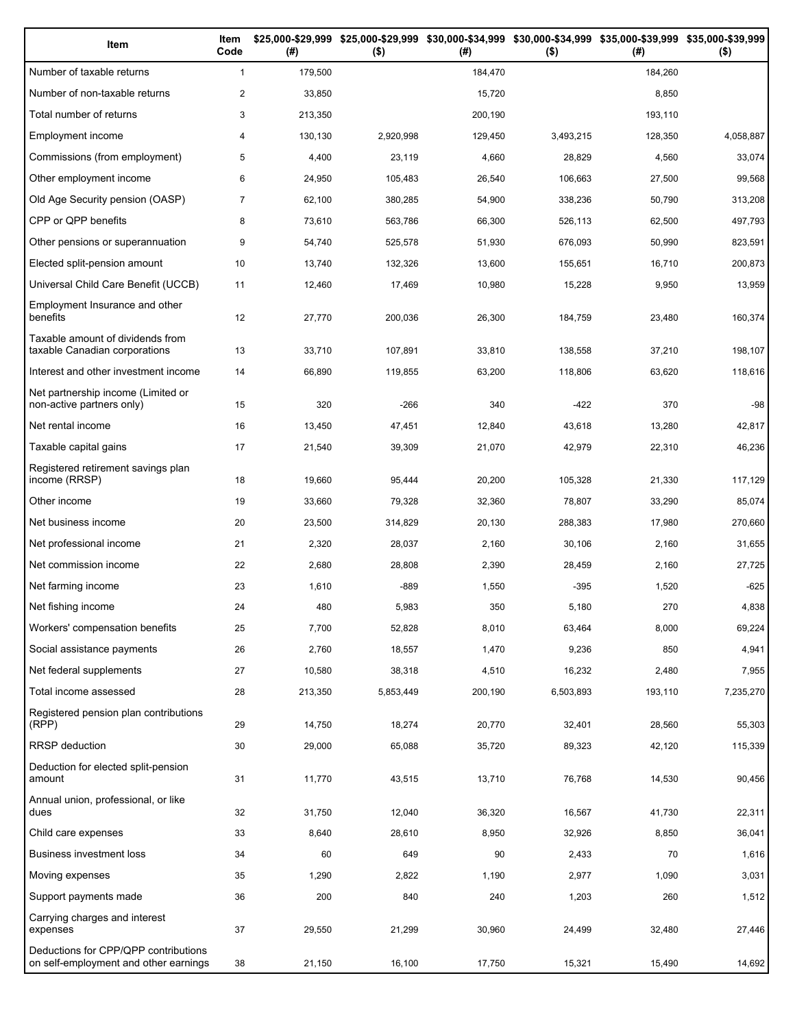| Item                                                                          | Item<br>Code   | (# )    | \$25,000-\$29,999 \$25,000-\$29,999<br>$($ \$) | (#)     | \$30,000-\$34,999 \$30,000-\$34,999 \$35,000-\$39,999 \$35,000-\$39,999<br>$($ \$) | (# )    | $($ \$)   |
|-------------------------------------------------------------------------------|----------------|---------|------------------------------------------------|---------|------------------------------------------------------------------------------------|---------|-----------|
| Number of taxable returns                                                     | $\mathbf{1}$   | 179,500 |                                                | 184,470 |                                                                                    | 184,260 |           |
| Number of non-taxable returns                                                 | $\overline{2}$ | 33,850  |                                                | 15,720  |                                                                                    | 8,850   |           |
| Total number of returns                                                       | 3              | 213,350 |                                                | 200,190 |                                                                                    | 193,110 |           |
| Employment income                                                             | 4              | 130,130 | 2,920,998                                      | 129,450 | 3,493,215                                                                          | 128,350 | 4,058,887 |
| Commissions (from employment)                                                 | 5              | 4,400   | 23,119                                         | 4,660   | 28,829                                                                             | 4,560   | 33,074    |
| Other employment income                                                       | 6              | 24,950  | 105,483                                        | 26,540  | 106,663                                                                            | 27,500  | 99,568    |
| Old Age Security pension (OASP)                                               | $\overline{7}$ | 62,100  | 380,285                                        | 54,900  | 338,236                                                                            | 50,790  | 313,208   |
| CPP or QPP benefits                                                           | 8              | 73,610  | 563,786                                        | 66,300  | 526,113                                                                            | 62,500  | 497,793   |
| Other pensions or superannuation                                              | 9              | 54,740  | 525,578                                        | 51,930  | 676,093                                                                            | 50,990  | 823,591   |
| Elected split-pension amount                                                  | 10             | 13,740  | 132,326                                        | 13,600  | 155,651                                                                            | 16,710  | 200,873   |
| Universal Child Care Benefit (UCCB)                                           | 11             | 12,460  | 17,469                                         | 10,980  | 15,228                                                                             | 9,950   | 13,959    |
| Employment Insurance and other<br>benefits                                    | 12             | 27,770  | 200,036                                        | 26,300  | 184,759                                                                            | 23,480  | 160,374   |
| Taxable amount of dividends from<br>taxable Canadian corporations             | 13             | 33,710  | 107,891                                        | 33,810  | 138,558                                                                            | 37,210  | 198,107   |
| Interest and other investment income                                          | 14             | 66,890  | 119,855                                        | 63,200  | 118,806                                                                            | 63,620  | 118,616   |
| Net partnership income (Limited or<br>non-active partners only)               | 15             | 320     | $-266$                                         | 340     | $-422$                                                                             | 370     | $-98$     |
| Net rental income                                                             | 16             | 13,450  | 47,451                                         | 12,840  | 43,618                                                                             | 13,280  | 42,817    |
| Taxable capital gains                                                         | 17             | 21,540  | 39,309                                         | 21,070  | 42,979                                                                             | 22,310  | 46,236    |
| Registered retirement savings plan<br>income (RRSP)                           | 18             | 19,660  | 95,444                                         | 20,200  | 105,328                                                                            | 21,330  | 117,129   |
| Other income                                                                  | 19             | 33,660  | 79,328                                         | 32,360  | 78,807                                                                             | 33,290  | 85,074    |
| Net business income                                                           | 20             | 23,500  | 314,829                                        | 20,130  | 288,383                                                                            | 17,980  | 270,660   |
| Net professional income                                                       | 21             | 2,320   | 28,037                                         | 2,160   | 30,106                                                                             | 2,160   | 31,655    |
| Net commission income                                                         | 22             | 2,680   | 28,808                                         | 2,390   | 28,459                                                                             | 2,160   | 27,725    |
| Net farming income                                                            | 23             | 1,610   | -889                                           | 1,550   | $-395$                                                                             | 1,520   | -625      |
| Net fishing income                                                            | 24             | 480     | 5,983                                          | 350     | 5,180                                                                              | 270     | 4,838     |
| Workers' compensation benefits                                                | 25             | 7,700   | 52,828                                         | 8,010   | 63,464                                                                             | 8,000   | 69,224    |
| Social assistance payments                                                    | 26             | 2,760   | 18,557                                         | 1,470   | 9,236                                                                              | 850     | 4,941     |
| Net federal supplements                                                       | 27             | 10,580  | 38,318                                         | 4,510   | 16,232                                                                             | 2,480   | 7,955     |
| Total income assessed                                                         | 28             | 213,350 | 5,853,449                                      | 200,190 | 6,503,893                                                                          | 193,110 | 7,235,270 |
| Registered pension plan contributions<br>(RPP)                                | 29             | 14,750  | 18,274                                         | 20,770  | 32,401                                                                             | 28,560  | 55,303    |
| RRSP deduction                                                                | 30             | 29,000  | 65,088                                         | 35,720  | 89,323                                                                             | 42,120  | 115,339   |
| Deduction for elected split-pension<br>amount                                 | 31             | 11,770  | 43,515                                         | 13,710  | 76,768                                                                             | 14,530  | 90,456    |
| Annual union, professional, or like<br>dues                                   | 32             | 31,750  | 12,040                                         | 36,320  | 16,567                                                                             | 41,730  | 22,311    |
| Child care expenses                                                           | 33             | 8,640   | 28,610                                         | 8,950   | 32,926                                                                             | 8,850   | 36,041    |
| Business investment loss                                                      | 34             | 60      | 649                                            | 90      | 2,433                                                                              | 70      | 1,616     |
| Moving expenses                                                               | 35             | 1,290   | 2,822                                          | 1,190   | 2,977                                                                              | 1,090   | 3,031     |
| Support payments made                                                         | 36             | 200     | 840                                            | 240     | 1,203                                                                              | 260     | 1,512     |
| Carrying charges and interest<br>expenses                                     | 37             | 29,550  | 21,299                                         | 30,960  | 24,499                                                                             | 32,480  | 27,446    |
| Deductions for CPP/QPP contributions<br>on self-employment and other earnings | 38             | 21,150  | 16,100                                         | 17,750  | 15,321                                                                             | 15,490  | 14,692    |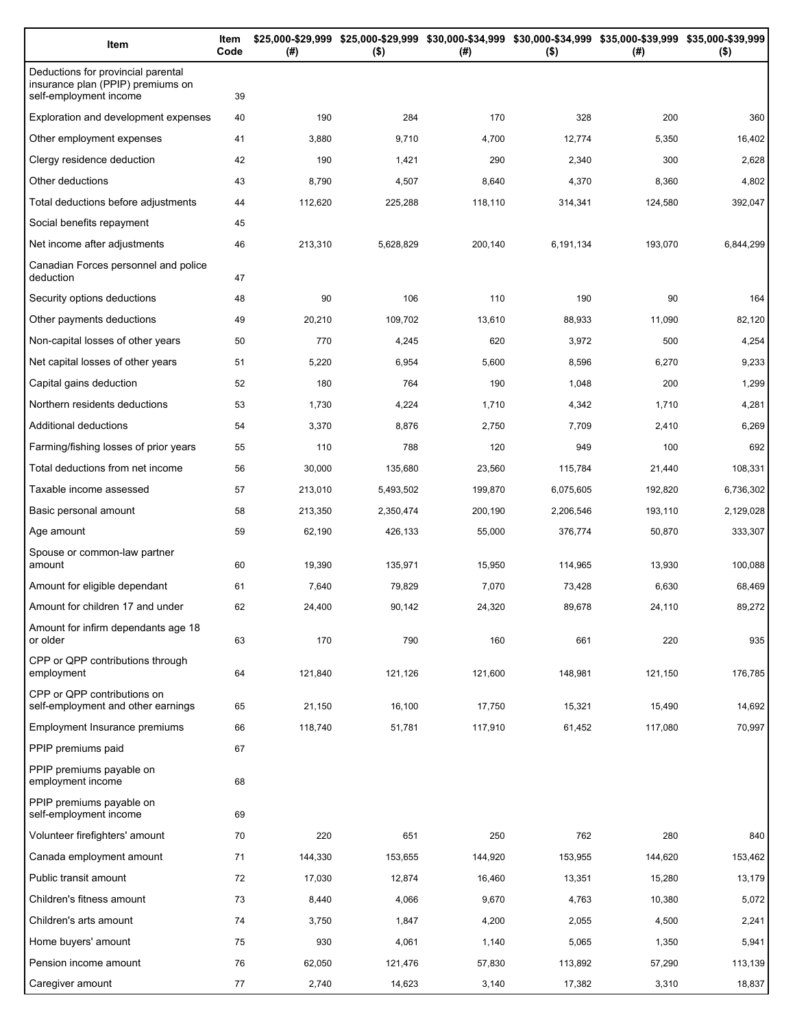| Item                                                                                              | Item<br>Code | (#)     | $($ \$)   | \$25,000-\$29,999 \$25,000-\$29,999 \$30,000-\$34,999 \$30,000-\$34,999 \$35,000-\$39,999 \$35,000-\$39,999<br>(#) | $($ \$)   | (#)     | $($ \$)   |
|---------------------------------------------------------------------------------------------------|--------------|---------|-----------|--------------------------------------------------------------------------------------------------------------------|-----------|---------|-----------|
| Deductions for provincial parental<br>insurance plan (PPIP) premiums on<br>self-employment income | 39           |         |           |                                                                                                                    |           |         |           |
| Exploration and development expenses                                                              | 40           | 190     | 284       | 170                                                                                                                | 328       | 200     | 360       |
| Other employment expenses                                                                         | 41           | 3,880   | 9,710     | 4,700                                                                                                              | 12,774    | 5,350   | 16,402    |
| Clergy residence deduction                                                                        | 42           | 190     | 1,421     | 290                                                                                                                | 2,340     | 300     | 2,628     |
| Other deductions                                                                                  | 43           | 8,790   | 4,507     | 8,640                                                                                                              | 4,370     | 8,360   | 4,802     |
| Total deductions before adjustments                                                               | 44           | 112,620 | 225,288   | 118,110                                                                                                            | 314,341   | 124,580 | 392,047   |
| Social benefits repayment                                                                         | 45           |         |           |                                                                                                                    |           |         |           |
| Net income after adjustments                                                                      | 46           | 213,310 | 5,628,829 | 200,140                                                                                                            | 6,191,134 | 193,070 | 6,844,299 |
| Canadian Forces personnel and police<br>deduction                                                 | 47           |         |           |                                                                                                                    |           |         |           |
| Security options deductions                                                                       | 48           | 90      | 106       | 110                                                                                                                | 190       | 90      | 164       |
| Other payments deductions                                                                         | 49           | 20,210  | 109,702   | 13,610                                                                                                             | 88,933    | 11,090  | 82,120    |
| Non-capital losses of other years                                                                 | 50           | 770     | 4,245     | 620                                                                                                                | 3,972     | 500     | 4,254     |
| Net capital losses of other years                                                                 | 51           | 5,220   | 6,954     | 5,600                                                                                                              | 8,596     | 6,270   | 9,233     |
| Capital gains deduction                                                                           | 52           | 180     | 764       | 190                                                                                                                | 1,048     | 200     | 1,299     |
| Northern residents deductions                                                                     | 53           | 1,730   | 4,224     | 1,710                                                                                                              | 4,342     | 1,710   | 4,281     |
| Additional deductions                                                                             | 54           | 3,370   | 8,876     | 2,750                                                                                                              | 7,709     | 2,410   | 6,269     |
| Farming/fishing losses of prior years                                                             | 55           | 110     | 788       | 120                                                                                                                | 949       | 100     | 692       |
| Total deductions from net income                                                                  | 56           | 30,000  | 135,680   | 23,560                                                                                                             | 115,784   | 21,440  | 108,331   |
| Taxable income assessed                                                                           | 57           | 213,010 | 5,493,502 | 199,870                                                                                                            | 6,075,605 | 192,820 | 6,736,302 |
| Basic personal amount                                                                             | 58           | 213,350 | 2,350,474 | 200,190                                                                                                            | 2,206,546 | 193,110 | 2,129,028 |
| Age amount                                                                                        | 59           | 62,190  | 426,133   | 55,000                                                                                                             | 376,774   | 50,870  | 333,307   |
| Spouse or common-law partner<br>amount                                                            | 60           | 19,390  | 135,971   | 15,950                                                                                                             | 114,965   | 13,930  | 100,088   |
| Amount for eligible dependant                                                                     | 61           | 7,640   | 79,829    | 7,070                                                                                                              | 73,428    | 6,630   | 68,469    |
| Amount for children 17 and under                                                                  | 62           | 24,400  | 90,142    | 24,320                                                                                                             | 89,678    | 24,110  | 89,272    |
| Amount for infirm dependants age 18<br>or older                                                   | 63           | 170     | 790       | 160                                                                                                                | 661       | 220     | 935       |
| CPP or QPP contributions through<br>employment                                                    | 64           | 121,840 | 121,126   | 121,600                                                                                                            | 148,981   | 121,150 | 176,785   |
| CPP or QPP contributions on<br>self-employment and other earnings                                 | 65           | 21,150  | 16,100    | 17,750                                                                                                             | 15,321    | 15,490  | 14,692    |
| Employment Insurance premiums                                                                     | 66           | 118,740 | 51,781    | 117,910                                                                                                            | 61,452    | 117,080 | 70,997    |
| PPIP premiums paid                                                                                | 67           |         |           |                                                                                                                    |           |         |           |
| PPIP premiums payable on<br>employment income                                                     | 68           |         |           |                                                                                                                    |           |         |           |
| PPIP premiums payable on<br>self-employment income                                                | 69           |         |           |                                                                                                                    |           |         |           |
| Volunteer firefighters' amount                                                                    | 70           | 220     | 651       | 250                                                                                                                | 762       | 280     | 840       |
| Canada employment amount                                                                          | 71           | 144,330 | 153,655   | 144,920                                                                                                            | 153,955   | 144,620 | 153,462   |
| Public transit amount                                                                             | 72           | 17,030  | 12,874    | 16,460                                                                                                             | 13,351    | 15,280  | 13,179    |
| Children's fitness amount                                                                         | 73           | 8,440   | 4,066     | 9,670                                                                                                              | 4,763     | 10,380  | 5,072     |
| Children's arts amount                                                                            | 74           | 3,750   | 1,847     | 4,200                                                                                                              | 2,055     | 4,500   | 2,241     |
| Home buyers' amount                                                                               | 75           | 930     | 4,061     | 1,140                                                                                                              | 5,065     | 1,350   | 5,941     |
| Pension income amount                                                                             | 76           | 62,050  | 121,476   | 57,830                                                                                                             | 113,892   | 57,290  | 113,139   |
| Caregiver amount                                                                                  | 77           | 2,740   | 14,623    | 3,140                                                                                                              | 17,382    | 3,310   | 18,837    |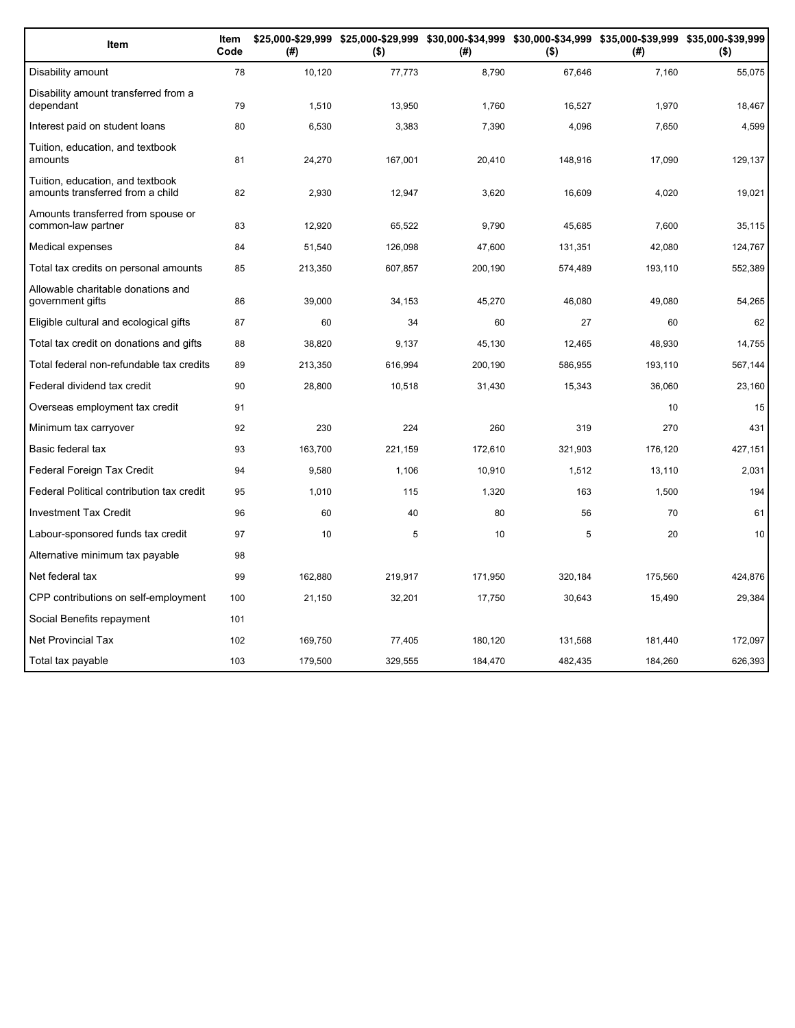| Item                                                                 | Item<br>Code | (#)     | $($ \$) | (#)     | $($ \$) | \$25,000-\$29,999 \$25,000-\$29,999 \$30,000-\$34,999 \$30,000-\$34,999 \$35,000-\$39,999 \$35,000-\$39,999<br>(#) | $($ \$) |
|----------------------------------------------------------------------|--------------|---------|---------|---------|---------|--------------------------------------------------------------------------------------------------------------------|---------|
| Disability amount                                                    | 78           | 10,120  | 77,773  | 8,790   | 67,646  | 7,160                                                                                                              | 55,075  |
| Disability amount transferred from a<br>dependant                    | 79           | 1,510   | 13,950  | 1,760   | 16,527  | 1,970                                                                                                              | 18,467  |
| Interest paid on student loans                                       | 80           | 6,530   | 3,383   | 7,390   | 4,096   | 7,650                                                                                                              | 4,599   |
| Tuition, education, and textbook<br>amounts                          | 81           | 24,270  | 167,001 | 20,410  | 148,916 | 17,090                                                                                                             | 129,137 |
| Tuition, education, and textbook<br>amounts transferred from a child | 82           | 2,930   | 12,947  | 3,620   | 16,609  | 4,020                                                                                                              | 19,021  |
| Amounts transferred from spouse or<br>common-law partner             | 83           | 12,920  | 65,522  | 9,790   | 45,685  | 7,600                                                                                                              | 35,115  |
| Medical expenses                                                     | 84           | 51,540  | 126,098 | 47,600  | 131,351 | 42,080                                                                                                             | 124,767 |
| Total tax credits on personal amounts                                | 85           | 213,350 | 607,857 | 200,190 | 574,489 | 193,110                                                                                                            | 552,389 |
| Allowable charitable donations and<br>government gifts               | 86           | 39,000  | 34,153  | 45,270  | 46,080  | 49,080                                                                                                             | 54,265  |
| Eligible cultural and ecological gifts                               | 87           | 60      | 34      | 60      | 27      | 60                                                                                                                 | 62      |
| Total tax credit on donations and gifts                              | 88           | 38,820  | 9.137   | 45,130  | 12,465  | 48.930                                                                                                             | 14,755  |
| Total federal non-refundable tax credits                             | 89           | 213,350 | 616,994 | 200,190 | 586,955 | 193,110                                                                                                            | 567,144 |
| Federal dividend tax credit                                          | 90           | 28,800  | 10,518  | 31,430  | 15,343  | 36,060                                                                                                             | 23,160  |
| Overseas employment tax credit                                       | 91           |         |         |         |         | 10                                                                                                                 | 15      |
| Minimum tax carryover                                                | 92           | 230     | 224     | 260     | 319     | 270                                                                                                                | 431     |
| Basic federal tax                                                    | 93           | 163,700 | 221,159 | 172,610 | 321,903 | 176,120                                                                                                            | 427,151 |
| Federal Foreign Tax Credit                                           | 94           | 9,580   | 1,106   | 10,910  | 1,512   | 13,110                                                                                                             | 2,031   |
| Federal Political contribution tax credit                            | 95           | 1,010   | 115     | 1,320   | 163     | 1,500                                                                                                              | 194     |
| <b>Investment Tax Credit</b>                                         | 96           | 60      | 40      | 80      | 56      | 70                                                                                                                 | 61      |
| Labour-sponsored funds tax credit                                    | 97           | 10      | 5       | 10      | 5       | 20                                                                                                                 | 10      |
| Alternative minimum tax payable                                      | 98           |         |         |         |         |                                                                                                                    |         |
| Net federal tax                                                      | 99           | 162,880 | 219,917 | 171,950 | 320,184 | 175,560                                                                                                            | 424,876 |
| CPP contributions on self-employment                                 | 100          | 21,150  | 32,201  | 17,750  | 30,643  | 15,490                                                                                                             | 29,384  |
| Social Benefits repayment                                            | 101          |         |         |         |         |                                                                                                                    |         |
| <b>Net Provincial Tax</b>                                            | 102          | 169,750 | 77,405  | 180,120 | 131,568 | 181,440                                                                                                            | 172,097 |
| Total tax payable                                                    | 103          | 179.500 | 329.555 | 184.470 | 482.435 | 184.260                                                                                                            | 626,393 |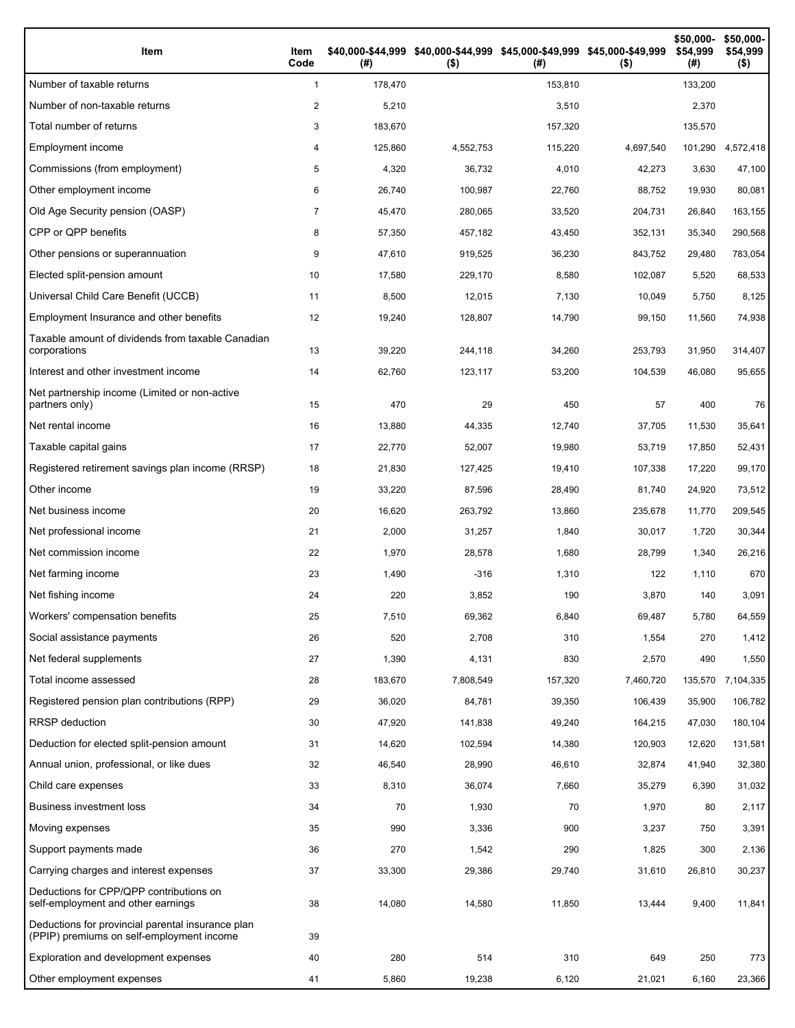| Item                                                                                           | Item<br>Code   | (#)     | \$40,000-\$44,999 \$40,000-\$44,999 \$45,000-\$49,999 \$45,000-\$49,999<br>$($ \$) | (# )    | $($ \$)   | \$50,000-<br>\$54,999<br>(#) | \$50,000-<br>\$54,999<br>$($ \$) |
|------------------------------------------------------------------------------------------------|----------------|---------|------------------------------------------------------------------------------------|---------|-----------|------------------------------|----------------------------------|
| Number of taxable returns                                                                      | $\mathbf{1}$   | 178,470 |                                                                                    | 153,810 |           | 133,200                      |                                  |
| Number of non-taxable returns                                                                  | 2              | 5,210   |                                                                                    | 3,510   |           | 2,370                        |                                  |
| Total number of returns                                                                        | 3              | 183,670 |                                                                                    | 157,320 |           | 135,570                      |                                  |
| Employment income                                                                              | 4              | 125,860 | 4,552,753                                                                          | 115,220 | 4,697,540 | 101,290                      | 4,572,418                        |
| Commissions (from employment)                                                                  | 5              | 4,320   | 36,732                                                                             | 4,010   | 42,273    | 3,630                        | 47,100                           |
| Other employment income                                                                        | 6              | 26,740  | 100,987                                                                            | 22,760  | 88,752    | 19,930                       | 80,081                           |
| Old Age Security pension (OASP)                                                                | $\overline{7}$ | 45,470  | 280,065                                                                            | 33,520  | 204,731   | 26,840                       | 163,155                          |
| CPP or QPP benefits                                                                            | 8              | 57,350  | 457,182                                                                            | 43,450  | 352,131   | 35,340                       | 290,568                          |
| Other pensions or superannuation                                                               | 9              | 47,610  | 919,525                                                                            | 36,230  | 843,752   | 29,480                       | 783,054                          |
| Elected split-pension amount                                                                   | 10             | 17,580  | 229,170                                                                            | 8,580   | 102,087   | 5,520                        | 68,533                           |
| Universal Child Care Benefit (UCCB)                                                            | 11             | 8,500   | 12,015                                                                             | 7,130   | 10,049    | 5,750                        | 8,125                            |
| Employment Insurance and other benefits                                                        | 12             | 19,240  | 128,807                                                                            | 14,790  | 99,150    | 11,560                       | 74,938                           |
| Taxable amount of dividends from taxable Canadian<br>corporations                              | 13             | 39,220  | 244,118                                                                            | 34,260  | 253,793   | 31,950                       | 314,407                          |
| Interest and other investment income                                                           | 14             | 62,760  | 123,117                                                                            | 53,200  | 104,539   | 46,080                       | 95,655                           |
| Net partnership income (Limited or non-active<br>partners only)                                | 15             | 470     | 29                                                                                 | 450     | 57        | 400                          | 76                               |
| Net rental income                                                                              | 16             | 13,880  | 44,335                                                                             | 12,740  | 37,705    | 11,530                       | 35,641                           |
| Taxable capital gains                                                                          | 17             | 22,770  | 52,007                                                                             | 19,980  | 53,719    | 17,850                       | 52,431                           |
| Registered retirement savings plan income (RRSP)                                               | 18             | 21,830  | 127,425                                                                            | 19,410  | 107,338   | 17,220                       | 99,170                           |
| Other income                                                                                   | 19             | 33,220  | 87,596                                                                             | 28,490  | 81,740    | 24,920                       | 73,512                           |
| Net business income                                                                            | 20             | 16,620  | 263,792                                                                            | 13,860  | 235,678   | 11,770                       | 209,545                          |
| Net professional income                                                                        | 21             | 2,000   | 31,257                                                                             | 1,840   | 30,017    | 1,720                        | 30,344                           |
| Net commission income                                                                          | 22             | 1,970   | 28,578                                                                             | 1,680   | 28,799    | 1,340                        | 26,216                           |
| Net farming income                                                                             | 23             | 1,490   | $-316$                                                                             | 1,310   | 122       | 1,110                        | 670                              |
| Net fishing income                                                                             | 24             | 220     | 3,852                                                                              | 190     | 3,870     | 140                          | 3,091                            |
| Workers' compensation benefits                                                                 | 25             | 7,510   | 69,362                                                                             | 6,840   | 69,487    | 5,780                        | 64,559                           |
| Social assistance payments                                                                     | 26             | 520     | 2,708                                                                              | 310     | 1,554     | 270                          | 1,412                            |
| Net federal supplements                                                                        | 27             | 1,390   | 4,131                                                                              | 830     | 2,570     | 490                          | 1,550                            |
| Total income assessed                                                                          | 28             | 183,670 | 7,808,549                                                                          | 157,320 | 7,460,720 | 135,570                      | 7,104,335                        |
| Registered pension plan contributions (RPP)                                                    | 29             | 36,020  | 84,781                                                                             | 39,350  | 106,439   | 35,900                       | 106,782                          |
| RRSP deduction                                                                                 | 30             | 47,920  | 141,838                                                                            | 49,240  | 164,215   | 47,030                       | 180,104                          |
| Deduction for elected split-pension amount                                                     | 31             | 14,620  | 102,594                                                                            | 14,380  | 120,903   | 12,620                       | 131,581                          |
| Annual union, professional, or like dues                                                       | 32             | 46,540  | 28,990                                                                             | 46,610  | 32,874    | 41,940                       | 32,380                           |
| Child care expenses                                                                            | 33             | 8,310   | 36,074                                                                             | 7,660   | 35,279    | 6,390                        | 31,032                           |
| <b>Business investment loss</b>                                                                | 34             | 70      | 1,930                                                                              | 70      | 1,970     | 80                           | 2,117                            |
| Moving expenses                                                                                | 35             | 990     | 3,336                                                                              | 900     | 3,237     | 750                          | 3,391                            |
| Support payments made                                                                          | 36             | 270     | 1,542                                                                              | 290     | 1,825     | 300                          | 2,136                            |
| Carrying charges and interest expenses                                                         | 37             | 33,300  | 29,386                                                                             | 29,740  | 31,610    | 26,810                       | 30,237                           |
| Deductions for CPP/QPP contributions on<br>self-employment and other earnings                  | 38             | 14,080  | 14,580                                                                             | 11,850  | 13,444    | 9,400                        | 11,841                           |
| Deductions for provincial parental insurance plan<br>(PPIP) premiums on self-employment income | 39             |         |                                                                                    |         |           |                              |                                  |
| Exploration and development expenses                                                           | 40             | 280     | 514                                                                                | 310     | 649       | 250                          | 773                              |
| Other employment expenses                                                                      | 41             | 5,860   | 19,238                                                                             | 6,120   | 21,021    | 6,160                        | 23,366                           |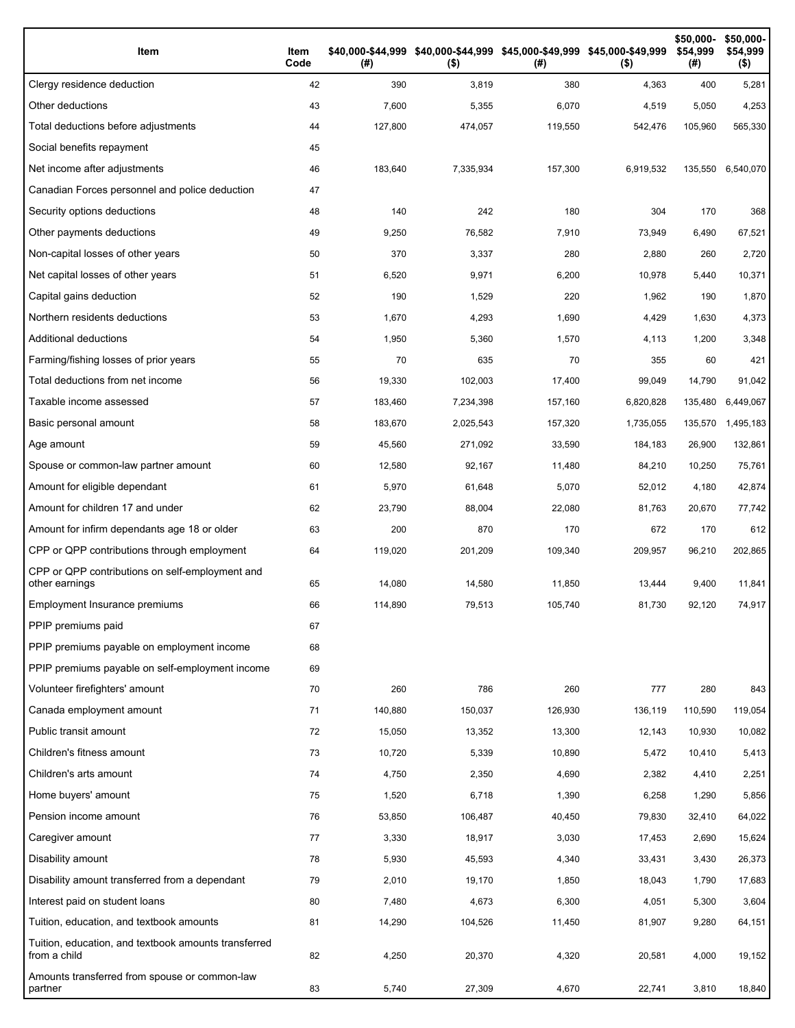| Item                                                                 | Item<br>Code | (# )    | \$40,000-\$44,999 \$40,000-\$44,999 \$45,000-\$49,999 \$45,000-\$49,999<br>$($ \$) | (# )    | $($ \$)   | \$50,000-<br>\$54,999<br>(#) | \$50,000-<br>\$54,999<br>$($ \$) |
|----------------------------------------------------------------------|--------------|---------|------------------------------------------------------------------------------------|---------|-----------|------------------------------|----------------------------------|
| Clergy residence deduction                                           | 42           | 390     | 3,819                                                                              | 380     | 4,363     | 400                          | 5,281                            |
| Other deductions                                                     | 43           | 7,600   | 5,355                                                                              | 6,070   | 4,519     | 5,050                        | 4,253                            |
| Total deductions before adjustments                                  | 44           | 127,800 | 474,057                                                                            | 119,550 | 542,476   | 105,960                      | 565,330                          |
| Social benefits repayment                                            | 45           |         |                                                                                    |         |           |                              |                                  |
| Net income after adjustments                                         | 46           | 183,640 | 7,335,934                                                                          | 157,300 | 6,919,532 | 135,550                      | 6,540,070                        |
| Canadian Forces personnel and police deduction                       | 47           |         |                                                                                    |         |           |                              |                                  |
| Security options deductions                                          | 48           | 140     | 242                                                                                | 180     | 304       | 170                          | 368                              |
| Other payments deductions                                            | 49           | 9,250   | 76,582                                                                             | 7,910   | 73,949    | 6,490                        | 67,521                           |
| Non-capital losses of other years                                    | 50           | 370     | 3,337                                                                              | 280     | 2,880     | 260                          | 2,720                            |
| Net capital losses of other years                                    | 51           | 6,520   | 9,971                                                                              | 6,200   | 10,978    | 5,440                        | 10,371                           |
| Capital gains deduction                                              | 52           | 190     | 1,529                                                                              | 220     | 1,962     | 190                          | 1,870                            |
| Northern residents deductions                                        | 53           | 1,670   | 4,293                                                                              | 1,690   | 4,429     | 1,630                        | 4,373                            |
| Additional deductions                                                | 54           | 1,950   | 5,360                                                                              | 1,570   | 4,113     | 1,200                        | 3,348                            |
| Farming/fishing losses of prior years                                | 55           | 70      | 635                                                                                | 70      | 355       | 60                           | 421                              |
| Total deductions from net income                                     | 56           | 19,330  | 102,003                                                                            | 17,400  | 99,049    | 14,790                       | 91,042                           |
| Taxable income assessed                                              | 57           | 183,460 | 7,234,398                                                                          | 157,160 | 6,820,828 | 135,480                      | 6,449,067                        |
| Basic personal amount                                                | 58           | 183,670 | 2,025,543                                                                          | 157,320 | 1,735,055 | 135,570                      | 1,495,183                        |
| Age amount                                                           | 59           | 45,560  | 271,092                                                                            | 33,590  | 184,183   | 26,900                       | 132,861                          |
| Spouse or common-law partner amount                                  | 60           | 12,580  | 92,167                                                                             | 11,480  | 84,210    | 10,250                       | 75,761                           |
| Amount for eligible dependant                                        | 61           | 5,970   | 61,648                                                                             | 5,070   | 52,012    | 4,180                        | 42,874                           |
| Amount for children 17 and under                                     | 62           | 23,790  | 88,004                                                                             | 22,080  | 81,763    | 20,670                       | 77,742                           |
| Amount for infirm dependants age 18 or older                         | 63           | 200     | 870                                                                                | 170     | 672       | 170                          | 612                              |
| CPP or QPP contributions through employment                          | 64           | 119,020 | 201,209                                                                            | 109,340 | 209,957   | 96,210                       | 202,865                          |
| CPP or QPP contributions on self-employment and<br>other earnings    | 65           | 14,080  | 14,580                                                                             | 11,850  | 13,444    | 9,400                        | 11,841                           |
| Employment Insurance premiums                                        | 66           | 114,890 | 79,513                                                                             | 105,740 | 81,730    | 92,120                       | 74,917                           |
| PPIP premiums paid                                                   | 67           |         |                                                                                    |         |           |                              |                                  |
| PPIP premiums payable on employment income                           | 68           |         |                                                                                    |         |           |                              |                                  |
| PPIP premiums payable on self-employment income                      | 69           |         |                                                                                    |         |           |                              |                                  |
| Volunteer firefighters' amount                                       | 70           | 260     | 786                                                                                | 260     | 777       | 280                          | 843                              |
| Canada employment amount                                             | 71           | 140,880 | 150,037                                                                            | 126,930 | 136,119   | 110,590                      | 119,054                          |
| Public transit amount                                                | 72           | 15,050  | 13,352                                                                             | 13,300  | 12,143    | 10,930                       | 10,082                           |
| Children's fitness amount                                            | 73           | 10,720  | 5,339                                                                              | 10,890  | 5,472     | 10,410                       | 5,413                            |
| Children's arts amount                                               | 74           | 4,750   | 2,350                                                                              | 4,690   | 2,382     | 4,410                        | 2,251                            |
| Home buyers' amount                                                  | 75           | 1,520   | 6,718                                                                              | 1,390   | 6,258     | 1,290                        | 5,856                            |
| Pension income amount                                                | 76           | 53,850  | 106,487                                                                            | 40,450  | 79,830    | 32,410                       | 64,022                           |
| Caregiver amount                                                     | 77           | 3,330   | 18,917                                                                             | 3,030   | 17,453    | 2,690                        | 15,624                           |
| Disability amount                                                    | 78           | 5,930   | 45,593                                                                             | 4,340   | 33,431    | 3,430                        | 26,373                           |
| Disability amount transferred from a dependant                       | 79           | 2,010   | 19,170                                                                             | 1,850   | 18,043    | 1,790                        | 17,683                           |
| Interest paid on student loans                                       | 80           | 7,480   | 4,673                                                                              | 6,300   | 4,051     | 5,300                        | 3,604                            |
| Tuition, education, and textbook amounts                             | 81           | 14,290  | 104,526                                                                            | 11,450  | 81,907    | 9,280                        | 64,151                           |
| Tuition, education, and textbook amounts transferred<br>from a child | 82           | 4,250   | 20,370                                                                             | 4,320   | 20,581    | 4,000                        | 19,152                           |
| Amounts transferred from spouse or common-law<br>partner             | 83           | 5,740   | 27,309                                                                             | 4,670   | 22,741    | 3,810                        | 18,840                           |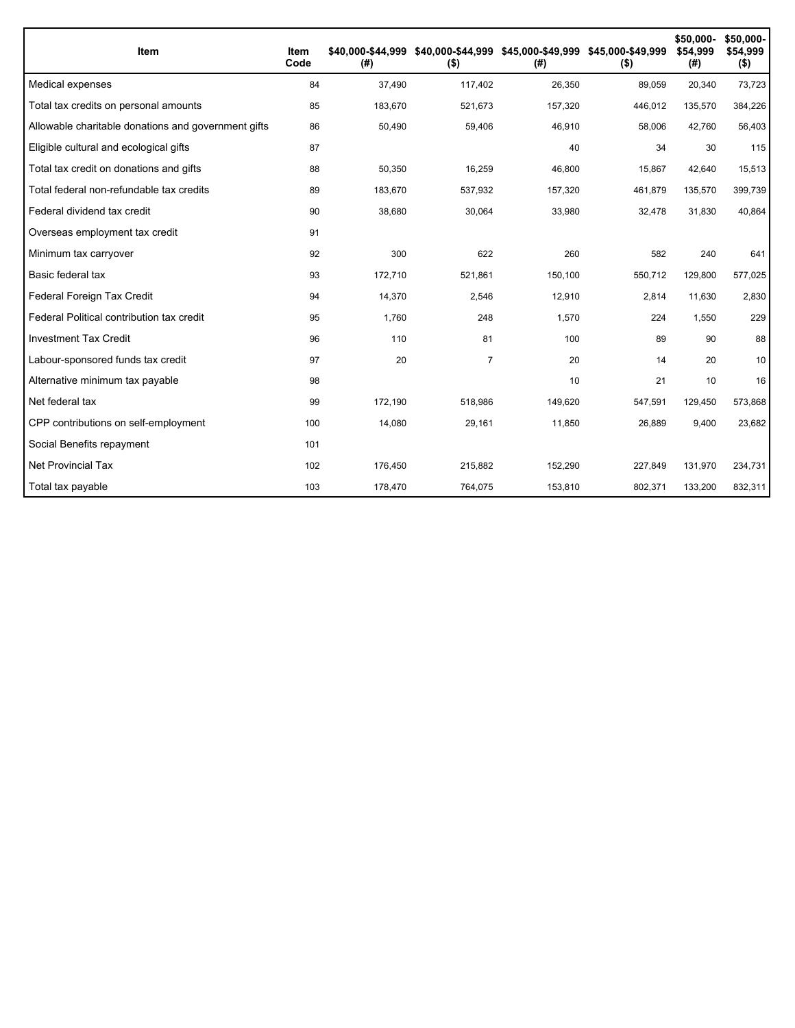| Item                                                | Item<br>Code | \$40.000-\$44.999<br>(# ) | $($ \$)        | \$40,000-\$44,999 \$45,000-\$49,999 \$45,000-\$49,999<br>(# ) | $($ \$) | \$50,000-<br>\$54.999<br>(#) | \$50,000-<br>\$54,999<br>$($ \$) |
|-----------------------------------------------------|--------------|---------------------------|----------------|---------------------------------------------------------------|---------|------------------------------|----------------------------------|
| Medical expenses                                    | 84           | 37,490                    | 117,402        | 26,350                                                        | 89,059  | 20,340                       | 73,723                           |
| Total tax credits on personal amounts               | 85           | 183,670                   | 521,673        | 157,320                                                       | 446,012 | 135,570                      | 384,226                          |
| Allowable charitable donations and government gifts | 86           | 50,490                    | 59,406         | 46,910                                                        | 58,006  | 42,760                       | 56,403                           |
| Eligible cultural and ecological gifts              | 87           |                           |                | 40                                                            | 34      | 30                           | 115                              |
| Total tax credit on donations and gifts             | 88           | 50,350                    | 16,259         | 46,800                                                        | 15,867  | 42,640                       | 15,513                           |
| Total federal non-refundable tax credits            | 89           | 183,670                   | 537,932        | 157,320                                                       | 461,879 | 135,570                      | 399,739                          |
| Federal dividend tax credit                         | 90           | 38,680                    | 30,064         | 33,980                                                        | 32,478  | 31,830                       | 40,864                           |
| Overseas employment tax credit                      | 91           |                           |                |                                                               |         |                              |                                  |
| Minimum tax carryover                               | 92           | 300                       | 622            | 260                                                           | 582     | 240                          | 641                              |
| Basic federal tax                                   | 93           | 172,710                   | 521,861        | 150,100                                                       | 550,712 | 129,800                      | 577,025                          |
| Federal Foreign Tax Credit                          | 94           | 14,370                    | 2,546          | 12,910                                                        | 2,814   | 11,630                       | 2,830                            |
| Federal Political contribution tax credit           | 95           | 1,760                     | 248            | 1,570                                                         | 224     | 1,550                        | 229                              |
| <b>Investment Tax Credit</b>                        | 96           | 110                       | 81             | 100                                                           | 89      | 90                           | 88                               |
| Labour-sponsored funds tax credit                   | 97           | 20                        | $\overline{7}$ | 20                                                            | 14      | 20                           | 10                               |
| Alternative minimum tax payable                     | 98           |                           |                | 10                                                            | 21      | 10                           | 16                               |
| Net federal tax                                     | 99           | 172,190                   | 518,986        | 149,620                                                       | 547,591 | 129,450                      | 573,868                          |
| CPP contributions on self-employment                | 100          | 14,080                    | 29,161         | 11,850                                                        | 26,889  | 9,400                        | 23,682                           |
| Social Benefits repayment                           | 101          |                           |                |                                                               |         |                              |                                  |
| <b>Net Provincial Tax</b>                           | 102          | 176,450                   | 215,882        | 152,290                                                       | 227,849 | 131,970                      | 234,731                          |
| Total tax payable                                   | 103          | 178,470                   | 764,075        | 153,810                                                       | 802,371 | 133,200                      | 832,311                          |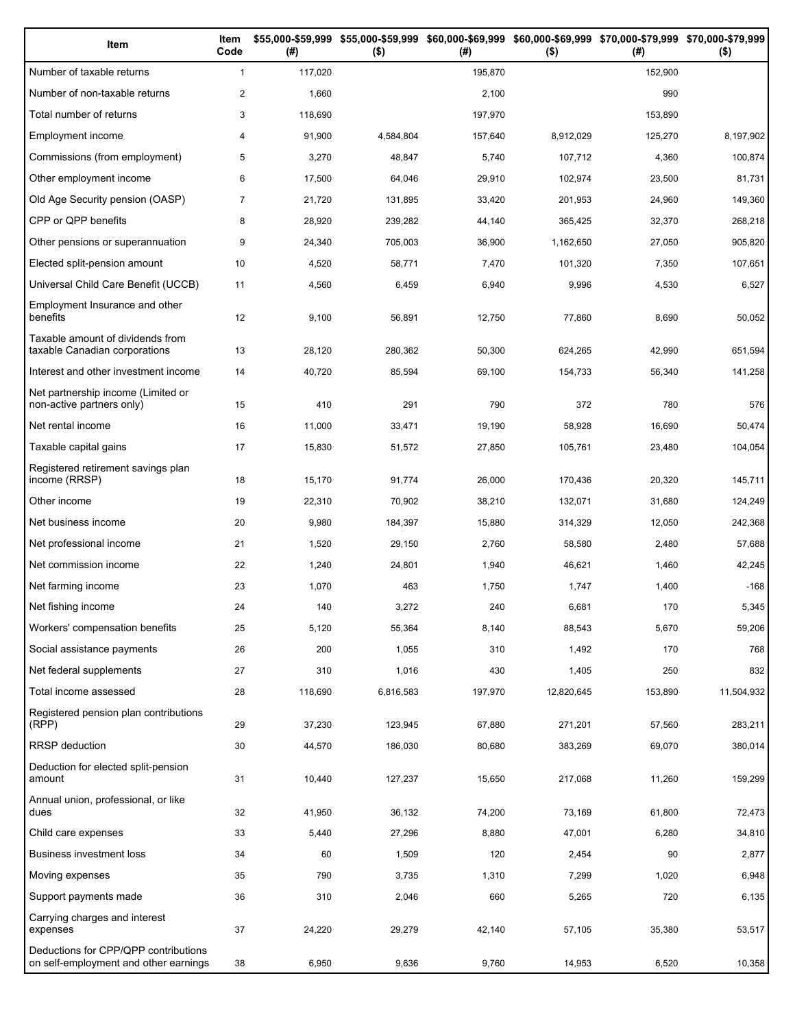| Item                                                                          | Item<br>Code   | (# )    | \$55,000-\$59,999 \$55,000-\$59,999 \$60,000-\$69,999 \$60,000-\$69,999 \$70,000-\$79,999 \$70,000-\$79,999<br>$($ \$) | (#)     | $($ \$)    | (#)     | $($ \$)    |
|-------------------------------------------------------------------------------|----------------|---------|------------------------------------------------------------------------------------------------------------------------|---------|------------|---------|------------|
| Number of taxable returns                                                     | $\mathbf{1}$   | 117,020 |                                                                                                                        | 195,870 |            | 152,900 |            |
| Number of non-taxable returns                                                 | $\overline{c}$ | 1,660   |                                                                                                                        | 2,100   |            | 990     |            |
| Total number of returns                                                       | 3              | 118,690 |                                                                                                                        | 197,970 |            | 153,890 |            |
| Employment income                                                             | 4              | 91,900  | 4,584,804                                                                                                              | 157,640 | 8,912,029  | 125,270 | 8,197,902  |
| Commissions (from employment)                                                 | 5              | 3,270   | 48,847                                                                                                                 | 5,740   | 107,712    | 4,360   | 100,874    |
| Other employment income                                                       | 6              | 17,500  | 64,046                                                                                                                 | 29,910  | 102,974    | 23,500  | 81,731     |
| Old Age Security pension (OASP)                                               | $\overline{7}$ | 21,720  | 131,895                                                                                                                | 33,420  | 201,953    | 24,960  | 149,360    |
| CPP or QPP benefits                                                           | 8              | 28,920  | 239,282                                                                                                                | 44,140  | 365,425    | 32,370  | 268,218    |
| Other pensions or superannuation                                              | 9              | 24,340  | 705,003                                                                                                                | 36,900  | 1,162,650  | 27,050  | 905,820    |
| Elected split-pension amount                                                  | 10             | 4,520   | 58,771                                                                                                                 | 7,470   | 101,320    | 7,350   | 107,651    |
| Universal Child Care Benefit (UCCB)                                           | 11             | 4,560   | 6,459                                                                                                                  | 6,940   | 9,996      | 4,530   | 6,527      |
| Employment Insurance and other<br>benefits                                    | 12             | 9,100   | 56,891                                                                                                                 | 12,750  | 77,860     | 8,690   | 50,052     |
| Taxable amount of dividends from<br>taxable Canadian corporations             | 13             | 28,120  | 280,362                                                                                                                | 50,300  | 624,265    | 42,990  | 651,594    |
| Interest and other investment income                                          | 14             | 40,720  | 85,594                                                                                                                 | 69,100  | 154,733    | 56,340  | 141,258    |
| Net partnership income (Limited or<br>non-active partners only)               | 15             | 410     | 291                                                                                                                    | 790     | 372        | 780     | 576        |
| Net rental income                                                             | 16             | 11,000  | 33,471                                                                                                                 | 19,190  | 58,928     | 16,690  | 50,474     |
| Taxable capital gains                                                         | 17             | 15,830  | 51,572                                                                                                                 | 27,850  | 105,761    | 23,480  | 104,054    |
| Registered retirement savings plan<br>income (RRSP)                           | 18             | 15,170  | 91,774                                                                                                                 | 26,000  | 170,436    | 20,320  | 145,711    |
| Other income                                                                  | 19             | 22,310  | 70,902                                                                                                                 | 38,210  | 132,071    | 31,680  | 124,249    |
| Net business income                                                           | 20             | 9,980   | 184,397                                                                                                                | 15,880  | 314,329    | 12,050  | 242,368    |
| Net professional income                                                       | 21             | 1,520   | 29,150                                                                                                                 | 2,760   | 58,580     | 2,480   | 57,688     |
| Net commission income                                                         | 22             | 1,240   | 24,801                                                                                                                 | 1,940   | 46,621     | 1,460   | 42,245     |
| Net farming income                                                            | 23             | 1,070   | 463                                                                                                                    | 1,750   | 1,747      | 1,400   | $-168$     |
| Net fishing income                                                            | 24             | 140     | 3,272                                                                                                                  | 240     | 6,681      | 170     | 5,345      |
| Workers' compensation benefits                                                | 25             | 5,120   | 55,364                                                                                                                 | 8,140   | 88,543     | 5,670   | 59,206     |
| Social assistance payments                                                    | 26             | 200     | 1,055                                                                                                                  | 310     | 1,492      | 170     | 768        |
| Net federal supplements                                                       | 27             | 310     | 1,016                                                                                                                  | 430     | 1,405      | 250     | 832        |
| Total income assessed                                                         | 28             | 118,690 | 6,816,583                                                                                                              | 197,970 | 12,820,645 | 153,890 | 11,504,932 |
| Registered pension plan contributions<br>(RPP)                                | 29             | 37,230  | 123,945                                                                                                                | 67,880  | 271,201    | 57,560  | 283,211    |
| RRSP deduction                                                                | 30             | 44,570  | 186,030                                                                                                                | 80,680  | 383,269    | 69,070  | 380,014    |
| Deduction for elected split-pension<br>amount                                 | 31             | 10,440  | 127,237                                                                                                                | 15,650  | 217,068    | 11,260  | 159,299    |
| Annual union, professional, or like<br>dues                                   | 32             | 41,950  | 36,132                                                                                                                 | 74,200  | 73,169     | 61,800  | 72,473     |
| Child care expenses                                                           | 33             | 5,440   | 27,296                                                                                                                 | 8,880   | 47,001     | 6,280   | 34,810     |
| Business investment loss                                                      | 34             | 60      | 1,509                                                                                                                  | 120     | 2,454      | 90      | 2,877      |
| Moving expenses                                                               | 35             | 790     | 3,735                                                                                                                  | 1,310   | 7,299      | 1,020   | 6,948      |
| Support payments made                                                         | 36             | 310     | 2,046                                                                                                                  | 660     | 5,265      | 720     | 6,135      |
| Carrying charges and interest<br>expenses                                     | 37             | 24,220  | 29,279                                                                                                                 | 42,140  | 57,105     | 35,380  | 53,517     |
| Deductions for CPP/QPP contributions<br>on self-employment and other earnings | 38             | 6,950   | 9,636                                                                                                                  | 9,760   | 14,953     | 6,520   | 10,358     |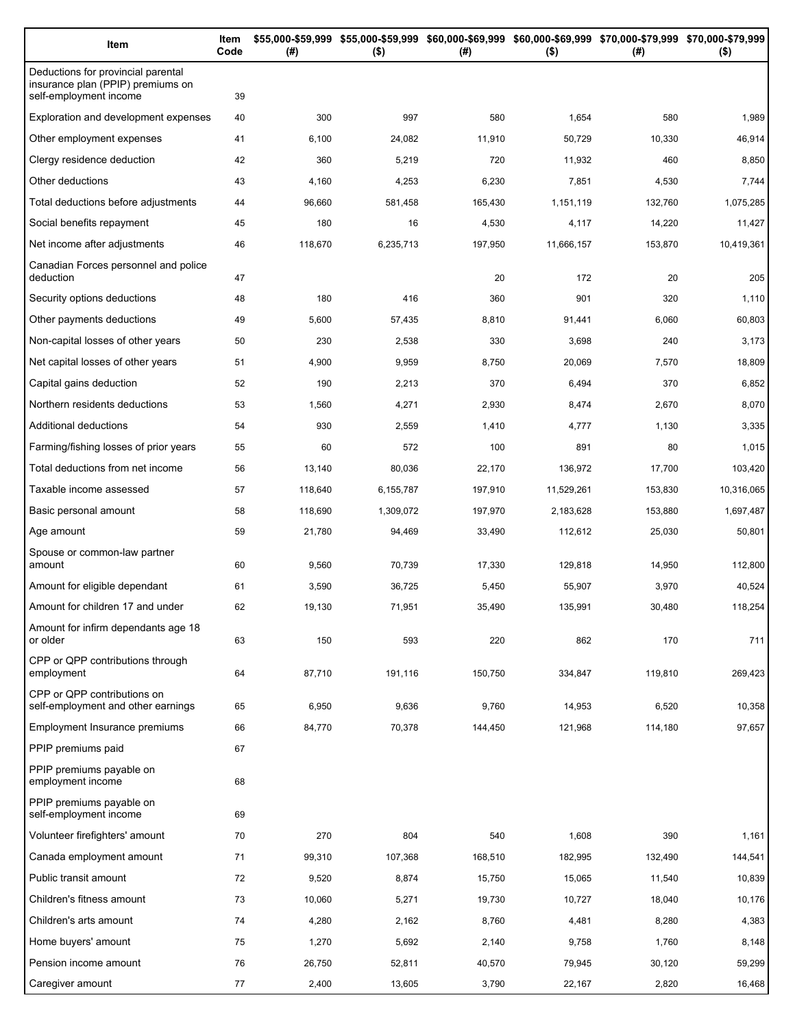| Item                                                                                              | Item<br>Code | (# )    | $($ \$)   | \$55,000-\$59,999 \$55,000-\$59,999 \$60,000-\$69,999 \$60,000-\$69,999 \$70,000-\$79,999 \$70,000-\$79,999<br>(#) | $($ \$)    | (#)     | $($ \$)    |
|---------------------------------------------------------------------------------------------------|--------------|---------|-----------|--------------------------------------------------------------------------------------------------------------------|------------|---------|------------|
| Deductions for provincial parental<br>insurance plan (PPIP) premiums on<br>self-employment income | 39           |         |           |                                                                                                                    |            |         |            |
| Exploration and development expenses                                                              | 40           | 300     | 997       | 580                                                                                                                | 1,654      | 580     | 1,989      |
| Other employment expenses                                                                         | 41           | 6,100   | 24,082    | 11,910                                                                                                             | 50,729     | 10,330  | 46,914     |
| Clergy residence deduction                                                                        | 42           | 360     | 5,219     | 720                                                                                                                | 11,932     | 460     | 8,850      |
| Other deductions                                                                                  | 43           | 4,160   | 4,253     | 6,230                                                                                                              | 7,851      | 4,530   | 7,744      |
| Total deductions before adjustments                                                               | 44           | 96,660  | 581,458   | 165,430                                                                                                            | 1,151,119  | 132,760 | 1,075,285  |
| Social benefits repayment                                                                         | 45           | 180     | 16        | 4,530                                                                                                              | 4,117      | 14,220  | 11,427     |
| Net income after adjustments                                                                      | 46           | 118,670 | 6,235,713 | 197,950                                                                                                            | 11,666,157 | 153,870 | 10,419,361 |
| Canadian Forces personnel and police<br>deduction                                                 | 47           |         |           | 20                                                                                                                 | 172        | 20      | 205        |
| Security options deductions                                                                       | 48           | 180     | 416       | 360                                                                                                                | 901        | 320     | 1,110      |
| Other payments deductions                                                                         | 49           | 5,600   | 57,435    | 8,810                                                                                                              | 91,441     | 6,060   | 60,803     |
| Non-capital losses of other years                                                                 | 50           | 230     | 2,538     | 330                                                                                                                | 3,698      | 240     | 3,173      |
| Net capital losses of other years                                                                 | 51           | 4,900   | 9,959     | 8,750                                                                                                              | 20,069     | 7,570   | 18,809     |
| Capital gains deduction                                                                           | 52           | 190     | 2,213     | 370                                                                                                                | 6,494      | 370     | 6,852      |
| Northern residents deductions                                                                     | 53           | 1,560   | 4,271     | 2,930                                                                                                              | 8,474      | 2,670   | 8,070      |
| Additional deductions                                                                             | 54           | 930     | 2,559     | 1,410                                                                                                              | 4,777      | 1,130   | 3,335      |
| Farming/fishing losses of prior years                                                             | 55           | 60      | 572       | 100                                                                                                                | 891        | 80      | 1,015      |
| Total deductions from net income                                                                  | 56           | 13,140  | 80,036    | 22,170                                                                                                             | 136,972    | 17,700  | 103,420    |
| Taxable income assessed                                                                           | 57           | 118,640 | 6,155,787 | 197,910                                                                                                            | 11,529,261 | 153,830 | 10,316,065 |
| Basic personal amount                                                                             | 58           | 118,690 | 1,309,072 | 197,970                                                                                                            | 2,183,628  | 153,880 | 1,697,487  |
| Age amount                                                                                        | 59           | 21,780  | 94,469    | 33,490                                                                                                             | 112,612    | 25,030  | 50,801     |
| Spouse or common-law partner<br>amount                                                            | 60           | 9,560   | 70,739    | 17,330                                                                                                             | 129,818    | 14,950  | 112,800    |
| Amount for eligible dependant                                                                     | 61           | 3,590   | 36,725    | 5,450                                                                                                              | 55,907     | 3,970   | 40,524     |
| Amount for children 17 and under                                                                  | 62           | 19,130  | 71,951    | 35,490                                                                                                             | 135,991    | 30,480  | 118,254    |
| Amount for infirm dependants age 18<br>or older                                                   | 63           | 150     | 593       | 220                                                                                                                | 862        | 170     | 711        |
| CPP or QPP contributions through<br>employment                                                    | 64           | 87,710  | 191,116   | 150,750                                                                                                            | 334,847    | 119,810 | 269,423    |
| CPP or QPP contributions on<br>self-employment and other earnings                                 | 65           | 6,950   | 9,636     | 9,760                                                                                                              | 14,953     | 6,520   | 10,358     |
| Employment Insurance premiums                                                                     | 66           | 84,770  | 70,378    | 144,450                                                                                                            | 121,968    | 114,180 | 97,657     |
| PPIP premiums paid                                                                                | 67           |         |           |                                                                                                                    |            |         |            |
| PPIP premiums payable on<br>employment income                                                     | 68           |         |           |                                                                                                                    |            |         |            |
| PPIP premiums payable on<br>self-employment income                                                | 69           |         |           |                                                                                                                    |            |         |            |
| Volunteer firefighters' amount                                                                    | 70           | 270     | 804       | 540                                                                                                                | 1,608      | 390     | 1,161      |
| Canada employment amount                                                                          | 71           | 99,310  | 107,368   | 168,510                                                                                                            | 182,995    | 132,490 | 144,541    |
| Public transit amount                                                                             | 72           | 9,520   | 8,874     | 15,750                                                                                                             | 15,065     | 11,540  | 10,839     |
| Children's fitness amount                                                                         | 73           | 10,060  | 5,271     | 19,730                                                                                                             | 10,727     | 18,040  | 10,176     |
| Children's arts amount                                                                            | 74           | 4,280   | 2,162     | 8,760                                                                                                              | 4,481      | 8,280   | 4,383      |
| Home buyers' amount                                                                               | 75           | 1,270   | 5,692     | 2,140                                                                                                              | 9,758      | 1,760   | 8,148      |
| Pension income amount                                                                             | 76           | 26,750  | 52,811    | 40,570                                                                                                             | 79,945     | 30,120  | 59,299     |
| Caregiver amount                                                                                  | 77           | 2,400   | 13,605    | 3,790                                                                                                              | 22,167     | 2,820   | 16,468     |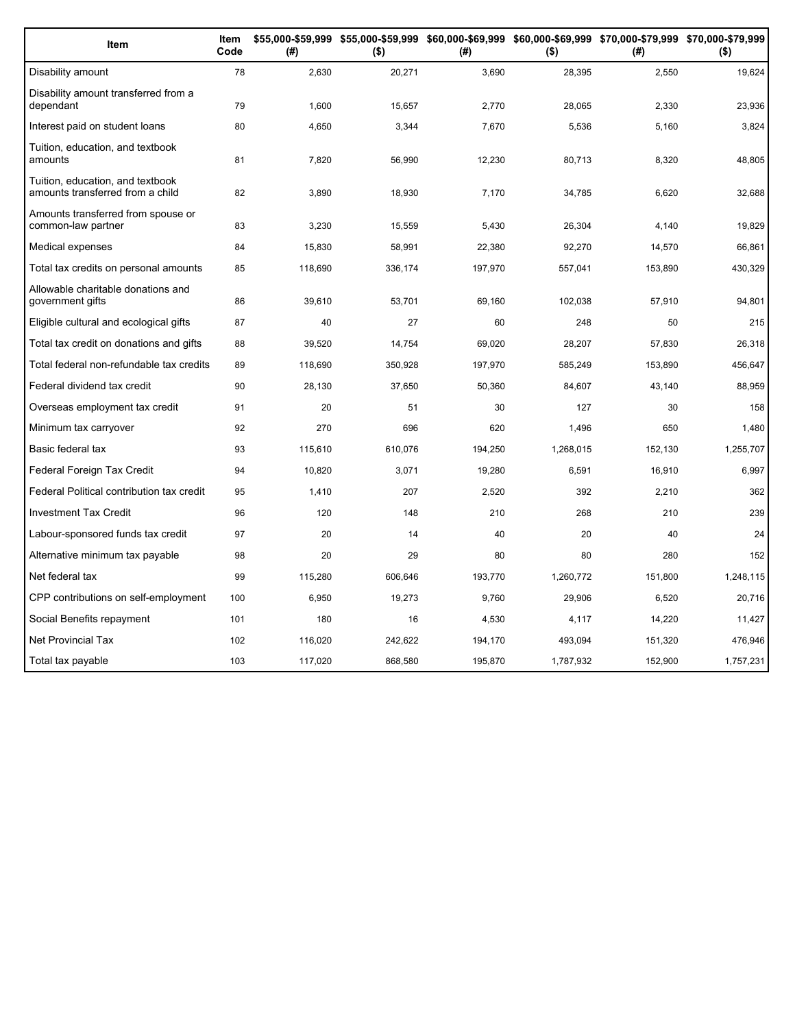| Item                                                                 | Item<br>Code | (#)     | $($ \$) | (#)     | $($ \$)   | \$55,000-\$59,999 \$55,000-\$59,999 \$60,000-\$69,999 \$60,000-\$69,999 \$70,000-\$79,999 \$70,000-\$79,999<br>(#) | $($ \$)   |
|----------------------------------------------------------------------|--------------|---------|---------|---------|-----------|--------------------------------------------------------------------------------------------------------------------|-----------|
| Disability amount                                                    | 78           | 2,630   | 20,271  | 3,690   | 28,395    | 2,550                                                                                                              | 19,624    |
| Disability amount transferred from a<br>dependant                    | 79           | 1,600   | 15,657  | 2,770   | 28,065    | 2,330                                                                                                              | 23,936    |
| Interest paid on student loans                                       | 80           | 4,650   | 3,344   | 7,670   | 5,536     | 5,160                                                                                                              | 3,824     |
| Tuition, education, and textbook<br>amounts                          | 81           | 7,820   | 56,990  | 12,230  | 80,713    | 8,320                                                                                                              | 48,805    |
| Tuition, education, and textbook<br>amounts transferred from a child | 82           | 3,890   | 18,930  | 7,170   | 34,785    | 6,620                                                                                                              | 32,688    |
| Amounts transferred from spouse or<br>common-law partner             | 83           | 3,230   | 15,559  | 5,430   | 26,304    | 4,140                                                                                                              | 19,829    |
| Medical expenses                                                     | 84           | 15,830  | 58,991  | 22,380  | 92,270    | 14,570                                                                                                             | 66,861    |
| Total tax credits on personal amounts                                | 85           | 118,690 | 336,174 | 197,970 | 557,041   | 153,890                                                                                                            | 430,329   |
| Allowable charitable donations and<br>government gifts               | 86           | 39,610  | 53,701  | 69,160  | 102,038   | 57,910                                                                                                             | 94,801    |
| Eligible cultural and ecological gifts                               | 87           | 40      | 27      | 60      | 248       | 50                                                                                                                 | 215       |
| Total tax credit on donations and gifts                              | 88           | 39,520  | 14,754  | 69,020  | 28,207    | 57.830                                                                                                             | 26,318    |
| Total federal non-refundable tax credits                             | 89           | 118,690 | 350,928 | 197,970 | 585,249   | 153,890                                                                                                            | 456,647   |
| Federal dividend tax credit                                          | 90           | 28,130  | 37,650  | 50,360  | 84,607    | 43,140                                                                                                             | 88,959    |
| Overseas employment tax credit                                       | 91           | 20      | 51      | 30      | 127       | 30                                                                                                                 | 158       |
| Minimum tax carryover                                                | 92           | 270     | 696     | 620     | 1,496     | 650                                                                                                                | 1,480     |
| Basic federal tax                                                    | 93           | 115,610 | 610,076 | 194,250 | 1,268,015 | 152,130                                                                                                            | 1,255,707 |
| Federal Foreign Tax Credit                                           | 94           | 10,820  | 3,071   | 19,280  | 6,591     | 16,910                                                                                                             | 6,997     |
| Federal Political contribution tax credit                            | 95           | 1,410   | 207     | 2,520   | 392       | 2,210                                                                                                              | 362       |
| <b>Investment Tax Credit</b>                                         | 96           | 120     | 148     | 210     | 268       | 210                                                                                                                | 239       |
| Labour-sponsored funds tax credit                                    | 97           | 20      | 14      | 40      | 20        | 40                                                                                                                 | 24        |
| Alternative minimum tax payable                                      | 98           | 20      | 29      | 80      | 80        | 280                                                                                                                | 152       |
| Net federal tax                                                      | 99           | 115,280 | 606,646 | 193,770 | 1,260,772 | 151,800                                                                                                            | 1,248,115 |
| CPP contributions on self-employment                                 | 100          | 6,950   | 19,273  | 9,760   | 29,906    | 6,520                                                                                                              | 20,716    |
| Social Benefits repayment                                            | 101          | 180     | 16      | 4,530   | 4,117     | 14,220                                                                                                             | 11,427    |
| <b>Net Provincial Tax</b>                                            | 102          | 116,020 | 242,622 | 194,170 | 493,094   | 151,320                                                                                                            | 476,946   |
| Total tax payable                                                    | 103          | 117,020 | 868,580 | 195,870 | 1,787,932 | 152,900                                                                                                            | 1,757,231 |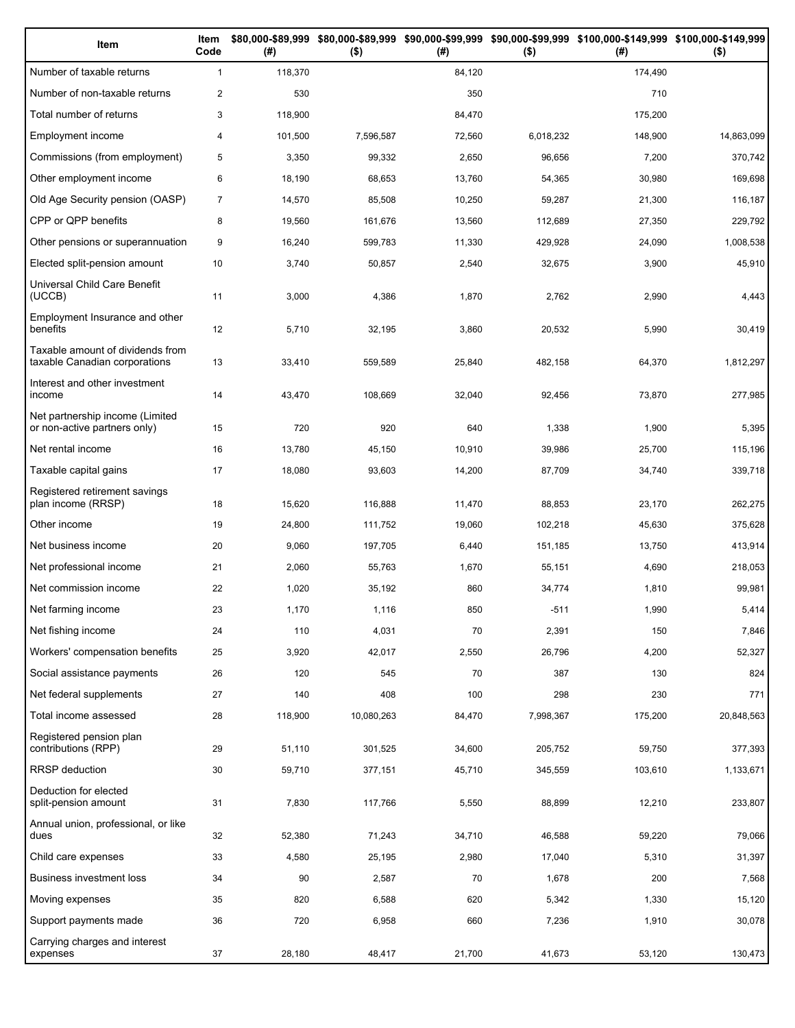| Item                                                              | Item<br>Code   | (# )    | $($ \$)    | (# )   | $($ \$)   | \$80,000-\$89,999 \$80,000-\$89,999 \$90,000-\$99,999 \$90,000-\$99,999 \$100,000-\$149,999 \$100,000-\$149,999<br>(# ) | $($ \$)    |
|-------------------------------------------------------------------|----------------|---------|------------|--------|-----------|-------------------------------------------------------------------------------------------------------------------------|------------|
| Number of taxable returns                                         | $\mathbf{1}$   | 118,370 |            | 84,120 |           | 174,490                                                                                                                 |            |
| Number of non-taxable returns                                     | $\mathbf{2}$   | 530     |            | 350    |           | 710                                                                                                                     |            |
| Total number of returns                                           | 3              | 118,900 |            | 84,470 |           | 175,200                                                                                                                 |            |
| Employment income                                                 | $\overline{4}$ | 101,500 | 7,596,587  | 72,560 | 6,018,232 | 148,900                                                                                                                 | 14,863,099 |
| Commissions (from employment)                                     | 5              | 3,350   | 99,332     | 2,650  | 96,656    | 7,200                                                                                                                   | 370,742    |
| Other employment income                                           | 6              | 18,190  | 68,653     | 13,760 | 54,365    | 30,980                                                                                                                  | 169,698    |
| Old Age Security pension (OASP)                                   | $\overline{7}$ | 14,570  | 85,508     | 10,250 | 59,287    | 21,300                                                                                                                  | 116,187    |
| CPP or QPP benefits                                               | 8              | 19,560  | 161,676    | 13,560 | 112,689   | 27,350                                                                                                                  | 229,792    |
| Other pensions or superannuation                                  | 9              | 16,240  | 599,783    | 11,330 | 429,928   | 24,090                                                                                                                  | 1,008,538  |
| Elected split-pension amount                                      | 10             | 3,740   | 50,857     | 2,540  | 32,675    | 3,900                                                                                                                   | 45,910     |
| Universal Child Care Benefit<br>(UCCB)                            | 11             | 3,000   | 4,386      | 1,870  | 2,762     | 2,990                                                                                                                   | 4,443      |
| Employment Insurance and other<br>benefits                        | 12             | 5,710   | 32,195     | 3,860  | 20,532    | 5,990                                                                                                                   | 30,419     |
| Taxable amount of dividends from<br>taxable Canadian corporations | 13             | 33,410  | 559,589    | 25,840 | 482,158   | 64,370                                                                                                                  | 1,812,297  |
| Interest and other investment<br>income                           | 14             | 43,470  | 108,669    | 32,040 | 92,456    | 73,870                                                                                                                  | 277,985    |
| Net partnership income (Limited<br>or non-active partners only)   | 15             | 720     | 920        | 640    | 1,338     | 1,900                                                                                                                   | 5,395      |
| Net rental income                                                 | 16             | 13,780  | 45,150     | 10,910 | 39,986    | 25,700                                                                                                                  | 115,196    |
| Taxable capital gains                                             | 17             | 18,080  | 93,603     | 14,200 | 87,709    | 34,740                                                                                                                  | 339,718    |
| Registered retirement savings<br>plan income (RRSP)               | 18             | 15,620  | 116,888    | 11,470 | 88,853    | 23,170                                                                                                                  | 262,275    |
| Other income                                                      | 19             | 24,800  | 111,752    | 19,060 | 102,218   | 45,630                                                                                                                  | 375,628    |
| Net business income                                               | 20             | 9,060   | 197,705    | 6,440  | 151,185   | 13,750                                                                                                                  | 413,914    |
| Net professional income                                           | 21             | 2,060   | 55,763     | 1,670  | 55,151    | 4,690                                                                                                                   | 218,053    |
| Net commission income                                             | 22             | 1,020   | 35,192     | 860    | 34,774    | 1,810                                                                                                                   | 99,981     |
| Net farming income                                                | 23             | 1,170   | 1,116      | 850    | $-511$    | 1,990                                                                                                                   | 5,414      |
| Net fishing income                                                | 24             | 110     | 4,031      | 70     | 2,391     | 150                                                                                                                     | 7,846      |
| Workers' compensation benefits                                    | 25             | 3,920   | 42,017     | 2,550  | 26,796    | 4,200                                                                                                                   | 52,327     |
| Social assistance payments                                        | 26             | 120     | 545        | 70     | 387       | 130                                                                                                                     | 824        |
| Net federal supplements                                           | 27             | 140     | 408        | 100    | 298       | 230                                                                                                                     | 771        |
| Total income assessed                                             | 28             | 118,900 | 10,080,263 | 84,470 | 7,998,367 | 175,200                                                                                                                 | 20,848,563 |
| Registered pension plan<br>contributions (RPP)                    | 29             | 51,110  | 301,525    | 34,600 | 205,752   | 59,750                                                                                                                  | 377,393    |
| <b>RRSP</b> deduction                                             | 30             | 59,710  | 377,151    | 45,710 | 345,559   | 103,610                                                                                                                 | 1,133,671  |
| Deduction for elected<br>split-pension amount                     | 31             | 7,830   | 117,766    | 5,550  | 88,899    | 12,210                                                                                                                  | 233,807    |
| Annual union, professional, or like<br>dues                       | 32             | 52,380  | 71,243     | 34,710 | 46,588    | 59,220                                                                                                                  | 79,066     |
| Child care expenses                                               | 33             | 4,580   | 25,195     | 2,980  | 17,040    | 5,310                                                                                                                   | 31,397     |
| Business investment loss                                          | 34             | 90      | 2,587      | 70     | 1,678     | 200                                                                                                                     | 7,568      |
| Moving expenses                                                   | 35             | 820     | 6,588      | 620    | 5,342     | 1,330                                                                                                                   | 15,120     |
| Support payments made                                             | 36             | 720     | 6,958      | 660    | 7,236     | 1,910                                                                                                                   | 30,078     |
| Carrying charges and interest<br>expenses                         | 37             | 28,180  | 48,417     | 21,700 | 41,673    | 53,120                                                                                                                  | 130,473    |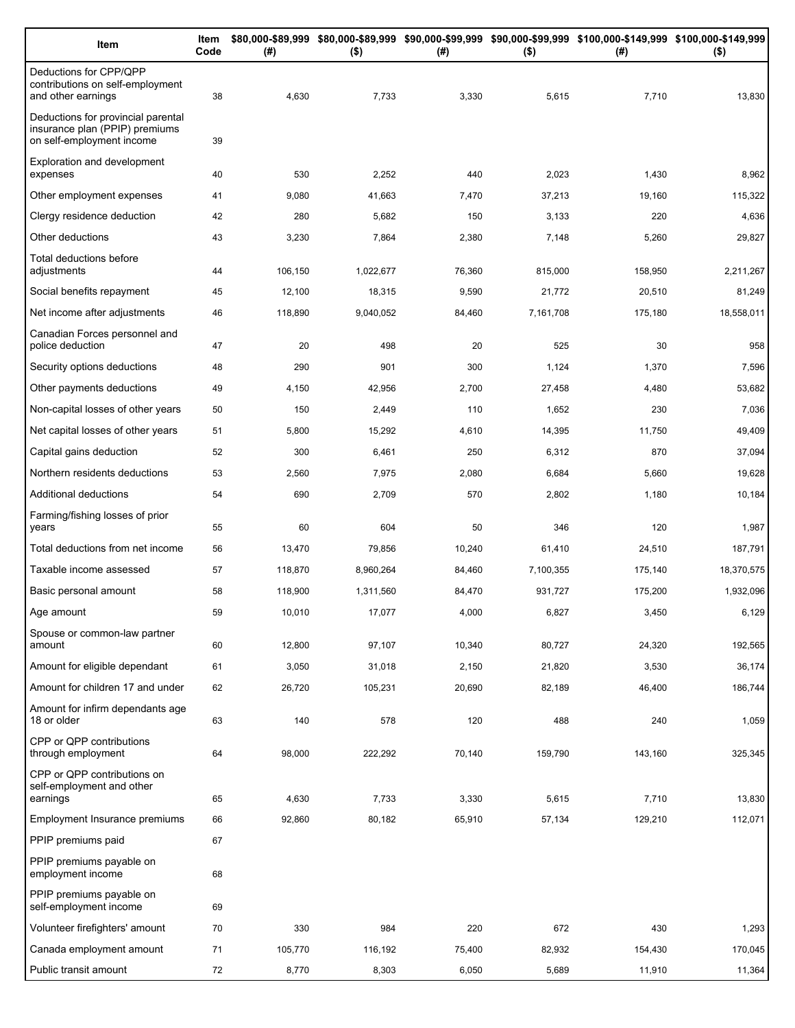| Item                                                                                              | Item<br>Code | (#)     | $($ \$)   | (#)    | $($ \$)   | \$80,000-\$89,999 \$80,000-\$89,999 \$90,000-\$99,999 \$90,000-\$99,999 \$100,000-\$149,999 \$100,000-\$149,999<br>(#) | $($ \$)    |
|---------------------------------------------------------------------------------------------------|--------------|---------|-----------|--------|-----------|------------------------------------------------------------------------------------------------------------------------|------------|
| Deductions for CPP/QPP<br>contributions on self-employment<br>and other earnings                  | 38           | 4,630   | 7,733     | 3,330  | 5,615     | 7,710                                                                                                                  | 13,830     |
| Deductions for provincial parental<br>insurance plan (PPIP) premiums<br>on self-employment income | 39           |         |           |        |           |                                                                                                                        |            |
| <b>Exploration and development</b><br>expenses                                                    | 40           | 530     | 2,252     | 440    | 2,023     | 1,430                                                                                                                  | 8,962      |
| Other employment expenses                                                                         | 41           | 9,080   | 41,663    | 7,470  | 37,213    | 19,160                                                                                                                 | 115,322    |
| Clergy residence deduction                                                                        | 42           | 280     | 5,682     | 150    | 3,133     | 220                                                                                                                    | 4,636      |
| Other deductions                                                                                  | 43           | 3,230   | 7,864     | 2,380  | 7,148     | 5,260                                                                                                                  | 29,827     |
| Total deductions before<br>adjustments                                                            | 44           | 106,150 | 1,022,677 | 76,360 | 815,000   | 158,950                                                                                                                | 2,211,267  |
| Social benefits repayment                                                                         | 45           | 12,100  | 18,315    | 9,590  | 21,772    | 20,510                                                                                                                 | 81,249     |
| Net income after adjustments                                                                      | 46           | 118,890 | 9,040,052 | 84,460 | 7,161,708 | 175,180                                                                                                                | 18,558,011 |
| Canadian Forces personnel and<br>police deduction                                                 | 47           | 20      | 498       | 20     | 525       | 30                                                                                                                     | 958        |
| Security options deductions                                                                       | 48           | 290     | 901       | 300    | 1,124     | 1,370                                                                                                                  | 7,596      |
| Other payments deductions                                                                         | 49           | 4,150   | 42,956    | 2,700  | 27,458    | 4,480                                                                                                                  | 53,682     |
| Non-capital losses of other years                                                                 | 50           | 150     | 2,449     | 110    | 1,652     | 230                                                                                                                    | 7,036      |
| Net capital losses of other years                                                                 | 51           | 5,800   | 15,292    | 4,610  | 14,395    | 11,750                                                                                                                 | 49,409     |
| Capital gains deduction                                                                           | 52           | 300     | 6,461     | 250    | 6,312     | 870                                                                                                                    | 37,094     |
| Northern residents deductions                                                                     | 53           | 2,560   | 7,975     | 2,080  | 6,684     | 5,660                                                                                                                  | 19,628     |
| Additional deductions                                                                             | 54           | 690     | 2,709     | 570    | 2,802     | 1,180                                                                                                                  | 10,184     |
| Farming/fishing losses of prior<br>years                                                          | 55           | 60      | 604       | 50     | 346       | 120                                                                                                                    | 1,987      |
| Total deductions from net income                                                                  | 56           | 13,470  | 79,856    | 10,240 | 61,410    | 24,510                                                                                                                 | 187,791    |
| Taxable income assessed                                                                           | 57           | 118,870 | 8,960,264 | 84,460 | 7,100,355 | 175,140                                                                                                                | 18,370,575 |
| Basic personal amount                                                                             | 58           | 118,900 | 1,311,560 | 84,470 | 931,727   | 175,200                                                                                                                | 1,932,096  |
| Age amount                                                                                        | 59           | 10,010  | 17,077    | 4,000  | 6,827     | 3,450                                                                                                                  | 6,129      |
| Spouse or common-law partner<br>amount                                                            | 60           | 12,800  | 97,107    | 10,340 | 80,727    | 24,320                                                                                                                 | 192,565    |
| Amount for eligible dependant                                                                     | 61           | 3,050   | 31,018    | 2,150  | 21,820    | 3,530                                                                                                                  | 36,174     |
| Amount for children 17 and under                                                                  | 62           | 26,720  | 105,231   | 20,690 | 82,189    | 46,400                                                                                                                 | 186,744    |
| Amount for infirm dependants age<br>18 or older                                                   | 63           | 140     | 578       | 120    | 488       | 240                                                                                                                    | 1,059      |
| CPP or QPP contributions<br>through employment                                                    | 64           | 98,000  | 222,292   | 70,140 | 159,790   | 143,160                                                                                                                | 325,345    |
| CPP or QPP contributions on<br>self-employment and other                                          |              |         |           |        |           |                                                                                                                        |            |
| earnings                                                                                          | 65           | 4,630   | 7,733     | 3,330  | 5,615     | 7,710                                                                                                                  | 13,830     |
| Employment Insurance premiums<br>PPIP premiums paid                                               | 66<br>67     | 92,860  | 80,182    | 65,910 | 57,134    | 129,210                                                                                                                | 112,071    |
| PPIP premiums payable on                                                                          |              |         |           |        |           |                                                                                                                        |            |
| employment income                                                                                 | 68           |         |           |        |           |                                                                                                                        |            |
| PPIP premiums payable on<br>self-employment income                                                | 69           |         |           |        |           |                                                                                                                        |            |
| Volunteer firefighters' amount                                                                    | 70           | 330     | 984       | 220    | 672       | 430                                                                                                                    | 1,293      |
| Canada employment amount                                                                          | 71           | 105,770 | 116,192   | 75,400 | 82,932    | 154,430                                                                                                                | 170,045    |
| Public transit amount                                                                             | 72           | 8,770   | 8,303     | 6,050  | 5,689     | 11,910                                                                                                                 | 11,364     |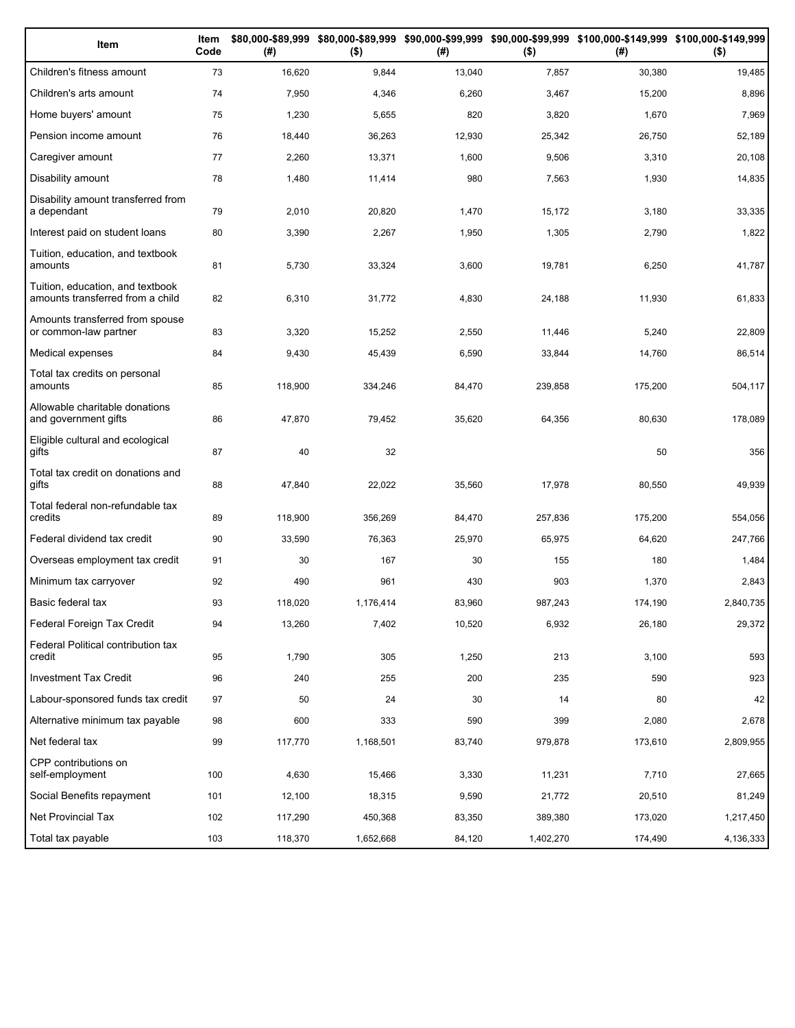| Item                                                                 | Item<br>Code | (# )    | $($ \$)   | (#)    | $($ \$)   | \$80,000-\$89,999 \$80,000-\$89,999 \$90,000-\$99,999 \$90,000-\$99,999 \$100,000-\$149,999 \$100,000-\$149,999<br>(#) | $($ \$)   |
|----------------------------------------------------------------------|--------------|---------|-----------|--------|-----------|------------------------------------------------------------------------------------------------------------------------|-----------|
| Children's fitness amount                                            | 73           | 16,620  | 9,844     | 13,040 | 7,857     | 30,380                                                                                                                 | 19,485    |
| Children's arts amount                                               | 74           | 7,950   | 4,346     | 6,260  | 3,467     | 15,200                                                                                                                 | 8,896     |
| Home buyers' amount                                                  | 75           | 1,230   | 5,655     | 820    | 3,820     | 1,670                                                                                                                  | 7,969     |
| Pension income amount                                                | 76           | 18,440  | 36,263    | 12,930 | 25,342    | 26,750                                                                                                                 | 52,189    |
| Caregiver amount                                                     | 77           | 2,260   | 13,371    | 1,600  | 9,506     | 3,310                                                                                                                  | 20,108    |
| Disability amount                                                    | 78           | 1,480   | 11,414    | 980    | 7,563     | 1,930                                                                                                                  | 14,835    |
| Disability amount transferred from<br>a dependant                    | 79           | 2,010   | 20,820    | 1,470  | 15,172    | 3,180                                                                                                                  | 33,335    |
| Interest paid on student loans                                       | 80           | 3,390   | 2,267     | 1,950  | 1,305     | 2,790                                                                                                                  | 1,822     |
| Tuition, education, and textbook<br>amounts                          | 81           | 5,730   | 33,324    | 3,600  | 19,781    | 6,250                                                                                                                  | 41,787    |
| Tuition, education, and textbook<br>amounts transferred from a child | 82           | 6,310   | 31,772    | 4,830  | 24,188    | 11,930                                                                                                                 | 61,833    |
| Amounts transferred from spouse<br>or common-law partner             | 83           | 3,320   | 15,252    | 2,550  | 11,446    | 5,240                                                                                                                  | 22,809    |
| Medical expenses                                                     | 84           | 9,430   | 45,439    | 6,590  | 33,844    | 14,760                                                                                                                 | 86,514    |
| Total tax credits on personal<br>amounts                             | 85           | 118,900 | 334,246   | 84,470 | 239,858   | 175,200                                                                                                                | 504,117   |
| Allowable charitable donations<br>and government gifts               | 86           | 47,870  | 79,452    | 35,620 | 64,356    | 80,630                                                                                                                 | 178,089   |
| Eligible cultural and ecological<br>gifts                            | 87           | 40      | 32        |        |           | 50                                                                                                                     | 356       |
| Total tax credit on donations and<br>gifts                           | 88           | 47,840  | 22,022    | 35,560 | 17,978    | 80,550                                                                                                                 | 49,939    |
| Total federal non-refundable tax<br>credits                          | 89           | 118,900 | 356,269   | 84,470 | 257,836   | 175,200                                                                                                                | 554,056   |
| Federal dividend tax credit                                          | 90           | 33,590  | 76,363    | 25,970 | 65,975    | 64,620                                                                                                                 | 247,766   |
| Overseas employment tax credit                                       | 91           | 30      | 167       | 30     | 155       | 180                                                                                                                    | 1,484     |
| Minimum tax carryover                                                | 92           | 490     | 961       | 430    | 903       | 1,370                                                                                                                  | 2,843     |
| Basic federal tax                                                    | 93           | 118,020 | 1,176,414 | 83,960 | 987,243   | 174,190                                                                                                                | 2,840,735 |
| Federal Foreign Tax Credit                                           | 94           | 13,260  | 7,402     | 10,520 | 6,932     | 26,180                                                                                                                 | 29,372    |
| Federal Political contribution tax<br>credit                         | 95           | 1,790   | 305       | 1,250  | 213       | 3,100                                                                                                                  | 593       |
| Investment Tax Credit                                                | 96           | 240     | 255       | 200    | 235       | 590                                                                                                                    | 923       |
| Labour-sponsored funds tax credit                                    | 97           | 50      | 24        | 30     | 14        | 80                                                                                                                     | 42        |
| Alternative minimum tax payable                                      | 98           | 600     | 333       | 590    | 399       | 2,080                                                                                                                  | 2,678     |
| Net federal tax                                                      | 99           | 117,770 | 1,168,501 | 83,740 | 979,878   | 173,610                                                                                                                | 2,809,955 |
| CPP contributions on<br>self-employment                              | 100          | 4,630   | 15,466    | 3,330  | 11,231    | 7,710                                                                                                                  | 27,665    |
| Social Benefits repayment                                            | 101          | 12,100  | 18,315    | 9,590  | 21,772    | 20,510                                                                                                                 | 81,249    |
| Net Provincial Tax                                                   | 102          | 117,290 | 450,368   | 83,350 | 389,380   | 173,020                                                                                                                | 1,217,450 |
| Total tax payable                                                    | 103          | 118,370 | 1,652,668 | 84,120 | 1,402,270 | 174,490                                                                                                                | 4,136,333 |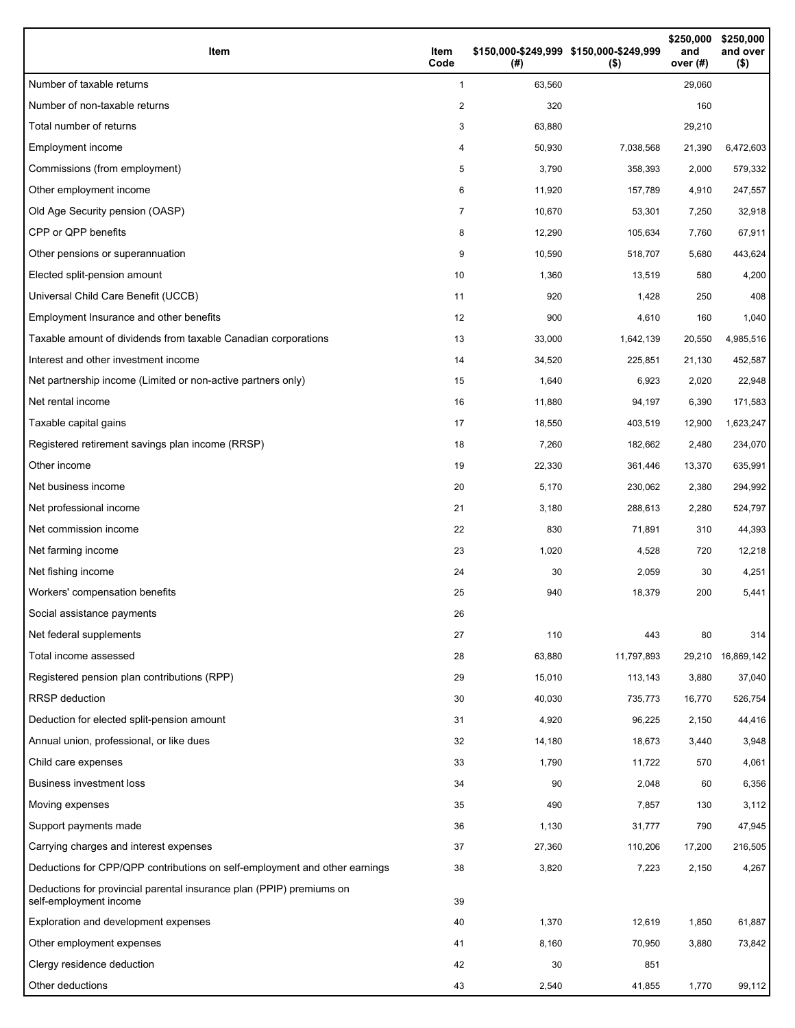| Item                                                                                           | Item<br>Code   | \$150,000-\$249,999 \$150,000-\$249,999<br>(#) | $($ \$)    | \$250,000<br>and<br>over (#) | \$250,000<br>and over<br>$($ \$) |
|------------------------------------------------------------------------------------------------|----------------|------------------------------------------------|------------|------------------------------|----------------------------------|
| Number of taxable returns                                                                      | 1              | 63,560                                         |            | 29,060                       |                                  |
| Number of non-taxable returns                                                                  | 2              | 320                                            |            | 160                          |                                  |
| Total number of returns                                                                        | 3              | 63,880                                         |            | 29,210                       |                                  |
| Employment income                                                                              | 4              | 50,930                                         | 7,038,568  | 21,390                       | 6,472,603                        |
| Commissions (from employment)                                                                  | 5              | 3,790                                          | 358,393    | 2,000                        | 579,332                          |
| Other employment income                                                                        | 6              | 11,920                                         | 157,789    | 4,910                        | 247,557                          |
| Old Age Security pension (OASP)                                                                | $\overline{7}$ | 10,670                                         | 53,301     | 7,250                        | 32,918                           |
| CPP or QPP benefits                                                                            | 8              | 12,290                                         | 105,634    | 7,760                        | 67,911                           |
| Other pensions or superannuation                                                               | 9              | 10,590                                         | 518,707    | 5,680                        | 443,624                          |
| Elected split-pension amount                                                                   | 10             | 1,360                                          | 13,519     | 580                          | 4,200                            |
| Universal Child Care Benefit (UCCB)                                                            | 11             | 920                                            | 1,428      | 250                          | 408                              |
| Employment Insurance and other benefits                                                        | 12             | 900                                            | 4,610      | 160                          | 1,040                            |
| Taxable amount of dividends from taxable Canadian corporations                                 | 13             | 33,000                                         | 1,642,139  | 20,550                       | 4,985,516                        |
| Interest and other investment income                                                           | 14             | 34,520                                         | 225,851    | 21,130                       | 452,587                          |
| Net partnership income (Limited or non-active partners only)                                   | 15             | 1,640                                          | 6,923      | 2,020                        | 22,948                           |
| Net rental income                                                                              | 16             | 11,880                                         | 94,197     | 6,390                        | 171,583                          |
| Taxable capital gains                                                                          | 17             | 18,550                                         | 403,519    | 12,900                       | 1,623,247                        |
| Registered retirement savings plan income (RRSP)                                               | 18             | 7,260                                          | 182,662    | 2,480                        | 234,070                          |
| Other income                                                                                   | 19             | 22,330                                         | 361,446    | 13,370                       | 635,991                          |
| Net business income                                                                            | 20             | 5,170                                          | 230,062    | 2,380                        | 294,992                          |
| Net professional income                                                                        | 21             | 3,180                                          | 288,613    | 2,280                        | 524,797                          |
| Net commission income                                                                          | 22             | 830                                            | 71,891     | 310                          | 44,393                           |
| Net farming income                                                                             | 23             | 1,020                                          | 4,528      | 720                          | 12,218                           |
| Net fishing income                                                                             | 24             | 30                                             | 2,059      | 30                           | 4,251                            |
| Workers' compensation benefits                                                                 | 25             | 940                                            | 18,379     | 200                          | 5,441                            |
| Social assistance payments                                                                     | 26             |                                                |            |                              |                                  |
| Net federal supplements                                                                        | 27             | 110                                            | 443        | 80                           | 314                              |
| Total income assessed                                                                          | 28             | 63,880                                         | 11,797,893 | 29,210                       | 16,869,142                       |
| Registered pension plan contributions (RPP)                                                    | 29             | 15,010                                         | 113,143    | 3,880                        | 37,040                           |
| RRSP deduction                                                                                 | 30             | 40,030                                         | 735,773    | 16,770                       | 526,754                          |
| Deduction for elected split-pension amount                                                     | 31             | 4,920                                          | 96,225     | 2,150                        | 44,416                           |
| Annual union, professional, or like dues                                                       | 32             | 14,180                                         | 18,673     | 3,440                        | 3,948                            |
| Child care expenses                                                                            | 33             | 1,790                                          | 11,722     | 570                          | 4,061                            |
| Business investment loss                                                                       | 34             | 90                                             | 2,048      | 60                           | 6,356                            |
| Moving expenses                                                                                | 35             | 490                                            | 7,857      | 130                          | 3,112                            |
| Support payments made                                                                          | 36             | 1,130                                          | 31,777     | 790                          | 47,945                           |
| Carrying charges and interest expenses                                                         | 37             | 27,360                                         | 110,206    | 17,200                       | 216,505                          |
| Deductions for CPP/QPP contributions on self-employment and other earnings                     | 38             | 3,820                                          | 7,223      | 2,150                        | 4,267                            |
| Deductions for provincial parental insurance plan (PPIP) premiums on<br>self-employment income | 39             |                                                |            |                              |                                  |
| Exploration and development expenses                                                           | 40             | 1,370                                          | 12,619     | 1,850                        | 61,887                           |
| Other employment expenses                                                                      | 41             | 8,160                                          | 70,950     | 3,880                        | 73,842                           |
| Clergy residence deduction                                                                     | 42             | 30                                             | 851        |                              |                                  |
| Other deductions                                                                               | 43             | 2,540                                          | 41,855     | 1,770                        | 99,112                           |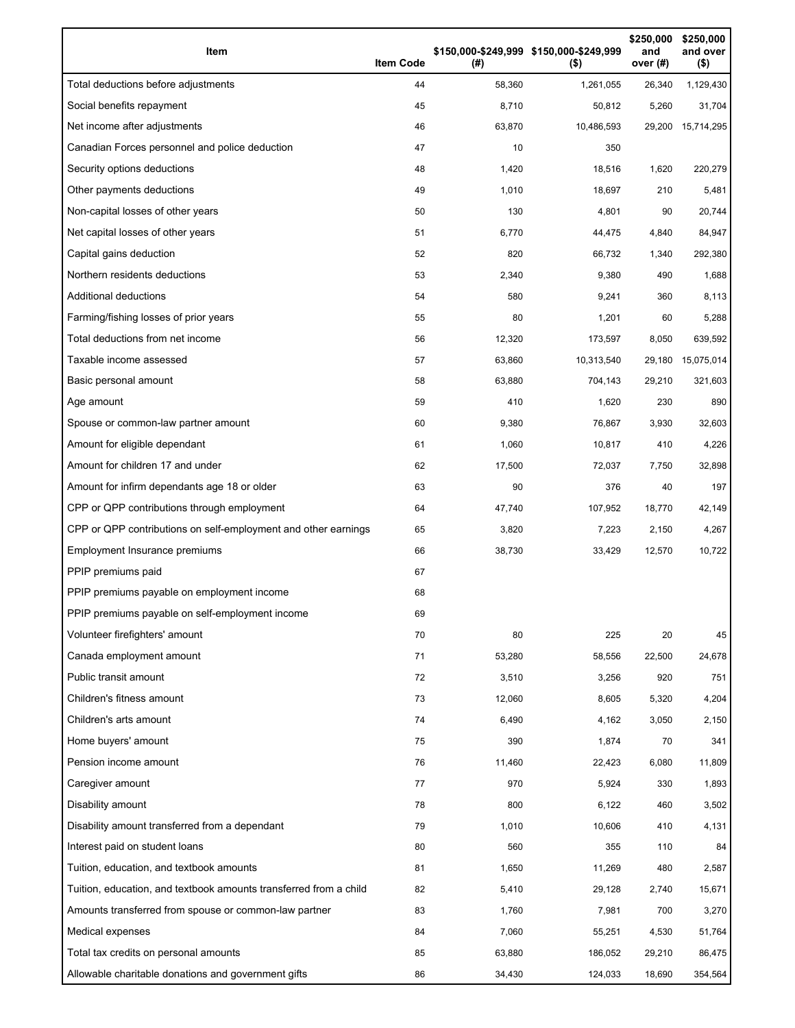| Item                                                              | <b>Item Code</b> | (#)    | \$150,000-\$249,999 \$150,000-\$249,999<br>$($ \$) | \$250,000<br>and<br>over $(H)$ | \$250.000<br>and over<br>$($ \$) |
|-------------------------------------------------------------------|------------------|--------|----------------------------------------------------|--------------------------------|----------------------------------|
| Total deductions before adjustments                               | 44               | 58,360 | 1,261,055                                          | 26,340                         | 1,129,430                        |
| Social benefits repayment                                         | 45               | 8,710  | 50,812                                             | 5,260                          | 31,704                           |
| Net income after adjustments                                      | 46               | 63,870 | 10,486,593                                         |                                | 29,200 15,714,295                |
| Canadian Forces personnel and police deduction                    | 47               | 10     | 350                                                |                                |                                  |
| Security options deductions                                       | 48               | 1,420  | 18,516                                             | 1,620                          | 220,279                          |
| Other payments deductions                                         | 49               | 1,010  | 18,697                                             | 210                            | 5,481                            |
| Non-capital losses of other years                                 | 50               | 130    | 4,801                                              | 90                             | 20,744                           |
| Net capital losses of other years                                 | 51               | 6,770  | 44,475                                             | 4,840                          | 84,947                           |
| Capital gains deduction                                           | 52               | 820    | 66,732                                             | 1,340                          | 292,380                          |
| Northern residents deductions                                     | 53               | 2,340  | 9,380                                              | 490                            | 1,688                            |
| Additional deductions                                             | 54               | 580    | 9,241                                              | 360                            | 8,113                            |
| Farming/fishing losses of prior years                             | 55               | 80     | 1,201                                              | 60                             | 5,288                            |
| Total deductions from net income                                  | 56               | 12,320 | 173,597                                            | 8,050                          | 639,592                          |
| Taxable income assessed                                           | 57               | 63,860 | 10,313,540                                         | 29,180                         | 15,075,014                       |
| Basic personal amount                                             | 58               | 63,880 | 704,143                                            | 29,210                         | 321,603                          |
| Age amount                                                        | 59               | 410    | 1,620                                              | 230                            | 890                              |
| Spouse or common-law partner amount                               | 60               | 9,380  | 76,867                                             | 3,930                          | 32,603                           |
| Amount for eligible dependant                                     | 61               | 1,060  | 10,817                                             | 410                            | 4,226                            |
| Amount for children 17 and under                                  | 62               | 17,500 | 72,037                                             | 7,750                          | 32,898                           |
| Amount for infirm dependants age 18 or older                      | 63               | 90     | 376                                                | 40                             | 197                              |
| CPP or QPP contributions through employment                       | 64               | 47,740 | 107,952                                            | 18,770                         | 42,149                           |
| CPP or QPP contributions on self-employment and other earnings    | 65               | 3,820  | 7,223                                              | 2,150                          | 4,267                            |
| Employment Insurance premiums                                     | 66               | 38,730 | 33,429                                             | 12,570                         | 10,722                           |
| PPIP premiums paid                                                | 67               |        |                                                    |                                |                                  |
| PPIP premiums payable on employment income                        | 68               |        |                                                    |                                |                                  |
| PPIP premiums payable on self-employment income                   | 69               |        |                                                    |                                |                                  |
| Volunteer firefighters' amount                                    | 70               | 80     | 225                                                | 20                             | 45                               |
| Canada employment amount                                          | 71               | 53,280 | 58,556                                             | 22,500                         | 24,678                           |
| Public transit amount                                             | 72               | 3,510  | 3,256                                              | 920                            | 751                              |
| Children's fitness amount                                         | 73               | 12,060 | 8,605                                              | 5,320                          | 4,204                            |
| Children's arts amount                                            | 74               | 6,490  | 4,162                                              | 3,050                          | 2,150                            |
| Home buyers' amount                                               | 75               | 390    | 1,874                                              | 70                             | 341                              |
| Pension income amount                                             | 76               | 11,460 | 22,423                                             | 6,080                          | 11,809                           |
| Caregiver amount                                                  | 77               | 970    | 5,924                                              | 330                            | 1,893                            |
| Disability amount                                                 | 78               | 800    | 6,122                                              | 460                            | 3,502                            |
| Disability amount transferred from a dependant                    | 79               | 1,010  | 10,606                                             | 410                            | 4,131                            |
| Interest paid on student loans                                    | 80               | 560    | 355                                                | 110                            | 84                               |
| Tuition, education, and textbook amounts                          | 81               | 1,650  | 11,269                                             | 480                            | 2,587                            |
| Tuition, education, and textbook amounts transferred from a child | 82               | 5,410  | 29,128                                             | 2,740                          | 15,671                           |
| Amounts transferred from spouse or common-law partner             | 83               | 1,760  | 7,981                                              | 700                            | 3,270                            |
| Medical expenses                                                  | 84               | 7,060  | 55,251                                             | 4,530                          | 51,764                           |
| Total tax credits on personal amounts                             | 85               | 63,880 | 186,052                                            | 29,210                         | 86,475                           |
| Allowable charitable donations and government gifts               | 86               | 34,430 | 124,033                                            | 18,690                         | 354,564                          |